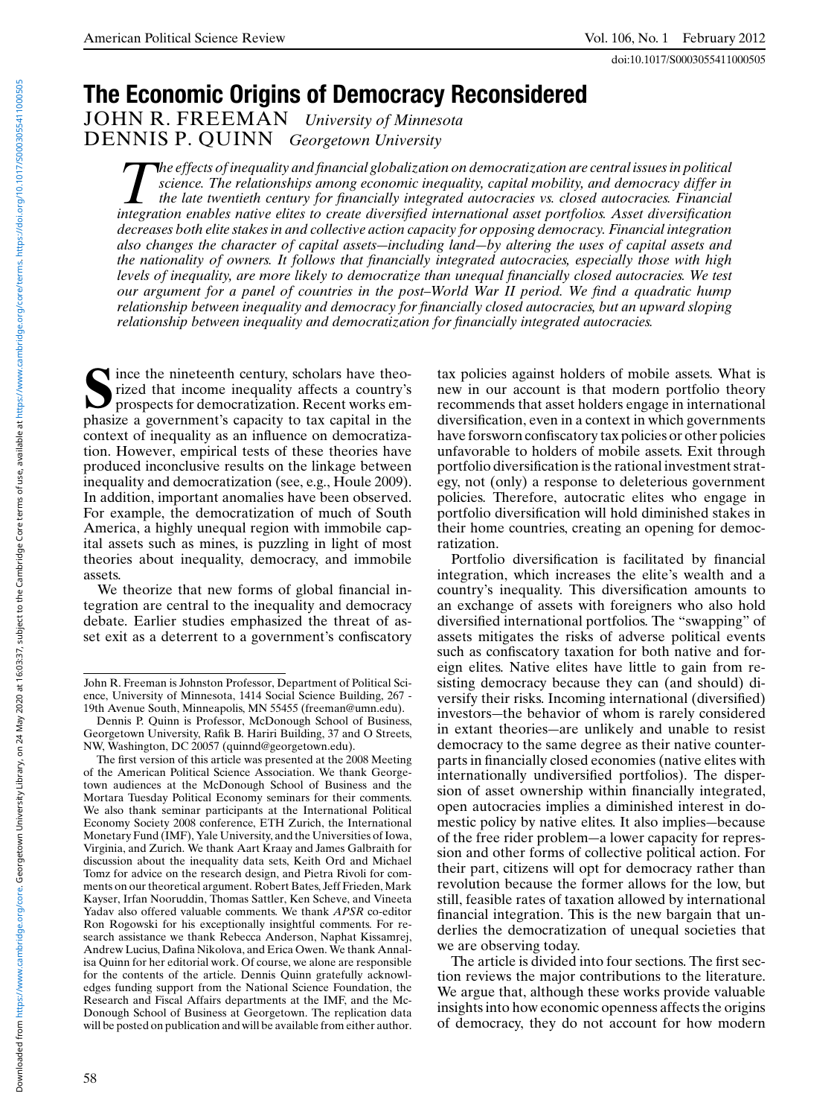doi:10.1017/S0003055411000505

# **The Economic Origins of Democracy Reconsidered**

JOHN R. FREEMAN *University of Minnesota* DENNIS P. QUINN *Georgetown University*

*The effects of inequality and financial globalization on democratization are central issues in political science. The relationships among economic inequality, capital mobility, and democracy differ in the late twentieth century for financially integrated autocracies vs. closed autocracies. Financial integration enables native elites to create diversified international asset portfolios. Asset diversification decreases both elite stakes in and collective action capacity for opposing democracy. Financial integration also changes the character of capital assets—including land—by altering the uses of capital assets and the nationality of owners. It follows that financially integrated autocracies, especially those with high levels of inequality, are more likely to democratize than unequal financially closed autocracies. We test our argument for a panel of countries in the post–World War II period. We find a quadratic hump relationship between inequality and democracy for financially closed autocracies, but an upward sloping relationship between inequality and democratization for financially integrated autocracies.*

**S**ince the nineteenth century, scholars have theorized that income inequality affects a country's prospects for democratization. Recent works emphasize a government's capacity to tax capital in the context of inequality as an influence on democratization. However, empirical tests of these theories have produced inconclusive results on the linkage between inequality and democratization (see, e.g., Houle 2009). In addition, important anomalies have been observed. For example, the democratization of much of South America, a highly unequal region with immobile capital assets such as mines, is puzzling in light of most theories about inequality, democracy, and immobile assets.

We theorize that new forms of global financial integration are central to the inequality and democracy debate. Earlier studies emphasized the threat of asset exit as a deterrent to a government's confiscatory tax policies against holders of mobile assets. What is new in our account is that modern portfolio theory recommends that asset holders engage in international diversification, even in a context in which governments have forsworn confiscatory tax policies or other policies unfavorable to holders of mobile assets. Exit through portfolio diversification is the rational investment strategy, not (only) a response to deleterious government policies. Therefore, autocratic elites who engage in portfolio diversification will hold diminished stakes in their home countries, creating an opening for democratization.

Portfolio diversification is facilitated by financial integration, which increases the elite's wealth and a country's inequality. This diversification amounts to an exchange of assets with foreigners who also hold diversified international portfolios. The "swapping" of assets mitigates the risks of adverse political events such as confiscatory taxation for both native and foreign elites. Native elites have little to gain from resisting democracy because they can (and should) diversify their risks. Incoming international (diversified) investors—the behavior of whom is rarely considered in extant theories—are unlikely and unable to resist democracy to the same degree as their native counterparts in financially closed economies (native elites with internationally undiversified portfolios). The dispersion of asset ownership within financially integrated, open autocracies implies a diminished interest in domestic policy by native elites. It also implies—because of the free rider problem—a lower capacity for repression and other forms of collective political action. For their part, citizens will opt for democracy rather than revolution because the former allows for the low, but still, feasible rates of taxation allowed by international financial integration. This is the new bargain that underlies the democratization of unequal societies that we are observing today.

The article is divided into four sections. The first section reviews the major contributions to the literature. We argue that, although these works provide valuable insights into how economic openness affects the origins of democracy, they do not account for how modern

John R. Freeman is Johnston Professor, Department of Political Science, University of Minnesota, 1414 Social Science Building, 267 - 19th Avenue South, Minneapolis, MN 55455 (freeman@umn.edu).

Dennis P. Quinn is Professor, McDonough School of Business, Georgetown University, Rafik B. Hariri Building, 37 and O Streets, NW, Washington, DC 20057 (quinnd@georgetown.edu).

The first version of this article was presented at the 2008 Meeting of the American Political Science Association. We thank Georgetown audiences at the McDonough School of Business and the Mortara Tuesday Political Economy seminars for their comments. We also thank seminar participants at the International Political Economy Society 2008 conference, ETH Zurich, the International Monetary Fund (IMF), Yale University, and the Universities of Iowa, Virginia, and Zurich. We thank Aart Kraay and James Galbraith for discussion about the inequality data sets, Keith Ord and Michael Tomz for advice on the research design, and Pietra Rivoli for comments on our theoretical argument. Robert Bates, Jeff Frieden, Mark Kayser, Irfan Nooruddin, Thomas Sattler, Ken Scheve, and Vineeta Yadav also offered valuable comments. We thank *APSR* co-editor Ron Rogowski for his exceptionally insightful comments. For research assistance we thank Rebecca Anderson, Naphat Kissamrej, Andrew Lucius, Dafina Nikolova, and Erica Owen. We thank Annalisa Quinn for her editorial work. Of course, we alone are responsible for the contents of the article. Dennis Quinn gratefully acknowledges funding support from the National Science Foundation, the Research and Fiscal Affairs departments at the IMF, and the Mc-Donough School of Business at Georgetown. The replication data will be posted on publication and will be available from either author.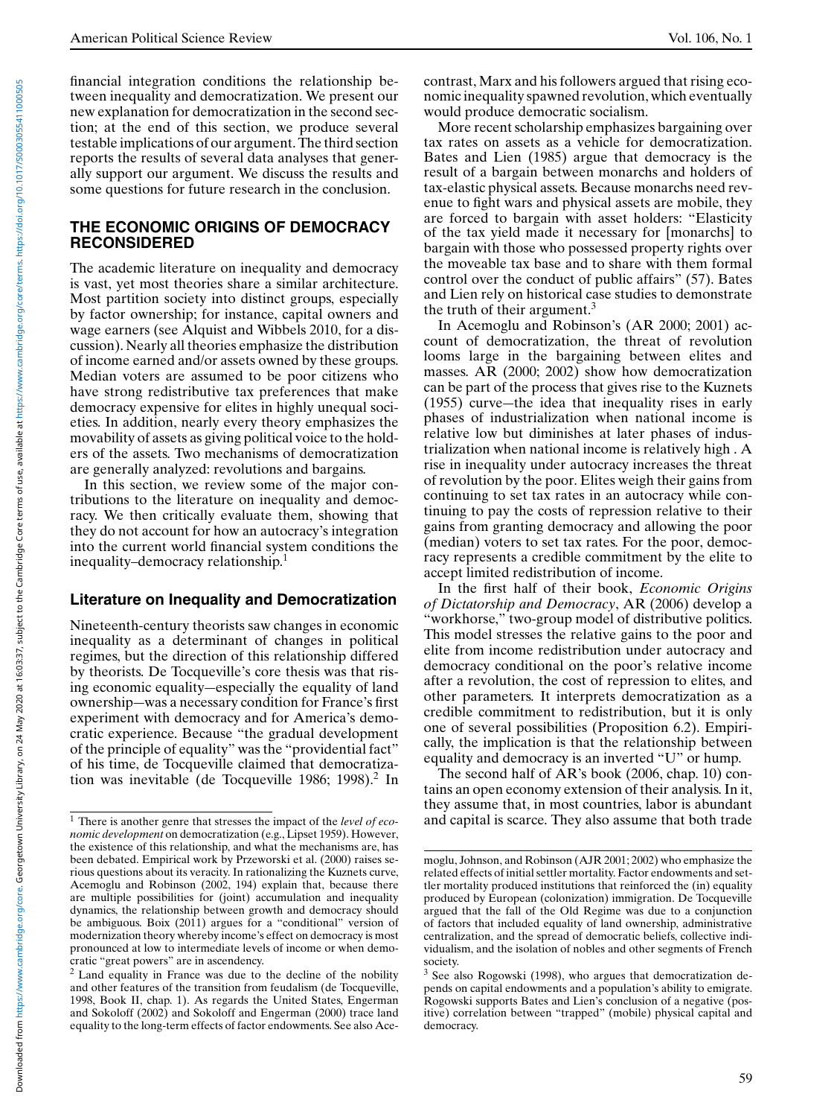financial integration conditions the relationship between inequality and democratization. We present our new explanation for democratization in the second section; at the end of this section, we produce several testable implications of our argument. The third section reports the results of several data analyses that generally support our argument. We discuss the results and some questions for future research in the conclusion.

### **THE ECONOMIC ORIGINS OF DEMOCRACY RECONSIDERED**

The academic literature on inequality and democracy is vast, yet most theories share a similar architecture. Most partition society into distinct groups, especially by factor ownership; for instance, capital owners and wage earners (see Alquist and Wibbels 2010, for a discussion). Nearly all theories emphasize the distribution of income earned and/or assets owned by these groups. Median voters are assumed to be poor citizens who have strong redistributive tax preferences that make democracy expensive for elites in highly unequal societies. In addition, nearly every theory emphasizes the movability of assets as giving political voice to the holders of the assets. Two mechanisms of democratization are generally analyzed: revolutions and bargains.

In this section, we review some of the major contributions to the literature on inequality and democracy. We then critically evaluate them, showing that they do not account for how an autocracy's integration into the current world financial system conditions the inequality–democracy relationship.<sup>1</sup>

#### **Literature on Inequality and Democratization**

Nineteenth-century theorists saw changes in economic inequality as a determinant of changes in political regimes, but the direction of this relationship differed by theorists. De Tocqueville's core thesis was that rising economic equality—especially the equality of land ownership—was a necessary condition for France's first experiment with democracy and for America's democratic experience. Because "the gradual development of the principle of equality" was the "providential fact" of his time, de Tocqueville claimed that democratization was inevitable (de Tocqueville 1986; 1998).<sup>2</sup> In

contrast, Marx and his followers argued that rising economic inequality spawned revolution, which eventually would produce democratic socialism.

More recent scholarship emphasizes bargaining over tax rates on assets as a vehicle for democratization. Bates and Lien (1985) argue that democracy is the result of a bargain between monarchs and holders of tax-elastic physical assets. Because monarchs need revenue to fight wars and physical assets are mobile, they are forced to bargain with asset holders: "Elasticity of the tax yield made it necessary for [monarchs] to bargain with those who possessed property rights over the moveable tax base and to share with them formal control over the conduct of public affairs" (57). Bates and Lien rely on historical case studies to demonstrate the truth of their argument.<sup>3</sup>

In Acemoglu and Robinson's (AR 2000; 2001) account of democratization, the threat of revolution looms large in the bargaining between elites and masses. AR (2000; 2002) show how democratization can be part of the process that gives rise to the Kuznets (1955) curve—the idea that inequality rises in early phases of industrialization when national income is relative low but diminishes at later phases of industrialization when national income is relatively high . A rise in inequality under autocracy increases the threat of revolution by the poor. Elites weigh their gains from continuing to set tax rates in an autocracy while continuing to pay the costs of repression relative to their gains from granting democracy and allowing the poor (median) voters to set tax rates. For the poor, democracy represents a credible commitment by the elite to accept limited redistribution of income.

In the first half of their book, *Economic Origins of Dictatorship and Democracy*, AR (2006) develop a "workhorse," two-group model of distributive politics. This model stresses the relative gains to the poor and elite from income redistribution under autocracy and democracy conditional on the poor's relative income after a revolution, the cost of repression to elites, and other parameters. It interprets democratization as a credible commitment to redistribution, but it is only one of several possibilities (Proposition 6.2). Empirically, the implication is that the relationship between equality and democracy is an inverted "U" or hump.

The second half of AR's book (2006, chap. 10) contains an open economy extension of their analysis. In it, they assume that, in most countries, labor is abundant and capital is scarce. They also assume that both trade

<sup>1</sup> There is another genre that stresses the impact of the *level of economic development* on democratization (e.g., Lipset 1959). However, the existence of this relationship, and what the mechanisms are, has been debated. Empirical work by Przeworski et al. (2000) raises serious questions about its veracity. In rationalizing the Kuznets curve, Acemoglu and Robinson (2002, 194) explain that, because there are multiple possibilities for (joint) accumulation and inequality dynamics, the relationship between growth and democracy should be ambiguous. Boix (2011) argues for a "conditional" version of modernization theory whereby income's effect on democracy is most pronounced at low to intermediate levels of income or when democratic "great powers" are in ascendency.

<sup>2</sup> Land equality in France was due to the decline of the nobility and other features of the transition from feudalism (de Tocqueville, 1998, Book II, chap. 1). As regards the United States, Engerman and Sokoloff (2002) and Sokoloff and Engerman (2000) trace land equality to the long-term effects of factor endowments. See also Ace-

moglu, Johnson, and Robinson (AJR 2001; 2002) who emphasize the related effects of initial settler mortality. Factor endowments and settler mortality produced institutions that reinforced the (in) equality produced by European (colonization) immigration. De Tocqueville argued that the fall of the Old Regime was due to a conjunction of factors that included equality of land ownership, administrative centralization, and the spread of democratic beliefs, collective individualism, and the isolation of nobles and other segments of French society.

<sup>3</sup> See also Rogowski (1998), who argues that democratization depends on capital endowments and a population's ability to emigrate. Rogowski supports Bates and Lien's conclusion of a negative (positive) correlation between "trapped" (mobile) physical capital and democracy.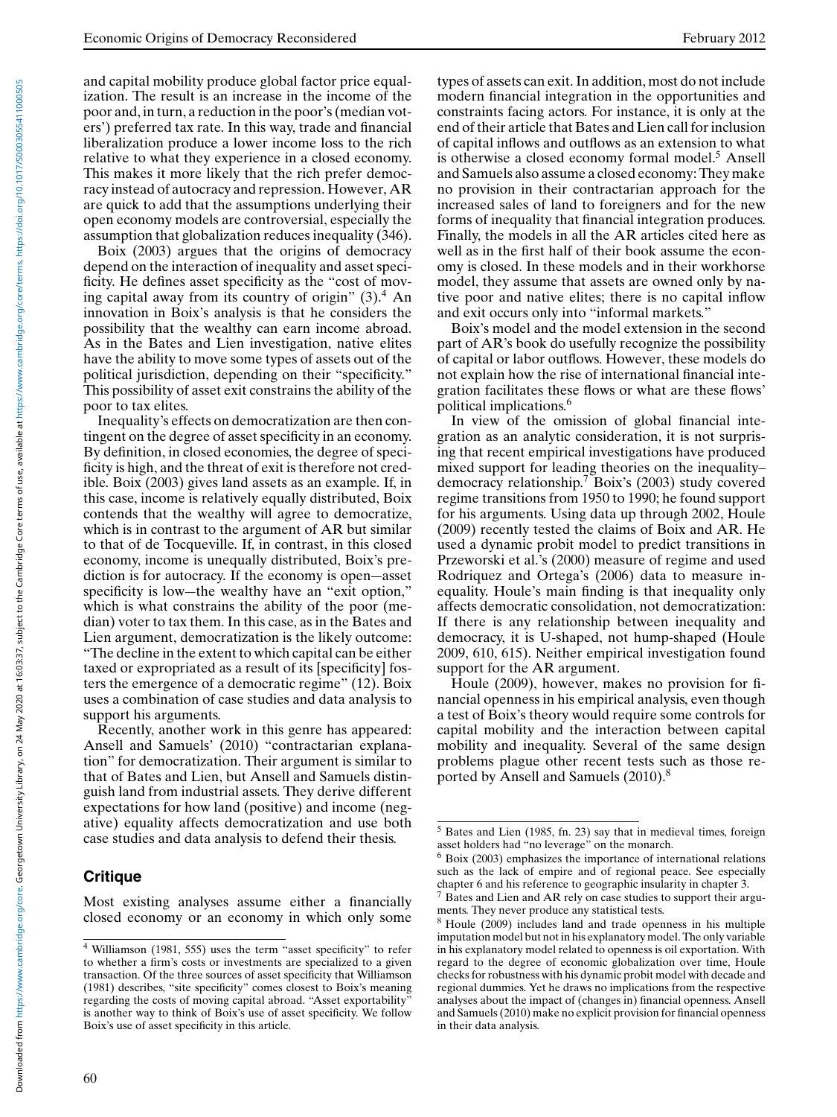and capital mobility produce global factor price equalization. The result is an increase in the income of the poor and, in turn, a reduction in the poor's (median voters') preferred tax rate. In this way, trade and financial liberalization produce a lower income loss to the rich relative to what they experience in a closed economy. This makes it more likely that the rich prefer democracy instead of autocracy and repression. However, AR are quick to add that the assumptions underlying their open economy models are controversial, especially the assumption that globalization reduces inequality (346).

Boix (2003) argues that the origins of democracy depend on the interaction of inequality and asset specificity. He defines asset specificity as the "cost of moving capital away from its country of origin"  $(3)$ .<sup>4</sup> An innovation in Boix's analysis is that he considers the possibility that the wealthy can earn income abroad. As in the Bates and Lien investigation, native elites have the ability to move some types of assets out of the political jurisdiction, depending on their "specificity." This possibility of asset exit constrains the ability of the poor to tax elites.

Inequality's effects on democratization are then contingent on the degree of asset specificity in an economy. By definition, in closed economies, the degree of specificity is high, and the threat of exit is therefore not credible. Boix (2003) gives land assets as an example. If, in this case, income is relatively equally distributed, Boix contends that the wealthy will agree to democratize, which is in contrast to the argument of AR but similar to that of de Tocqueville. If, in contrast, in this closed economy, income is unequally distributed, Boix's prediction is for autocracy. If the economy is open—asset specificity is low—the wealthy have an "exit option," which is what constrains the ability of the poor (median) voter to tax them. In this case, as in the Bates and Lien argument, democratization is the likely outcome: "The decline in the extent to which capital can be either taxed or expropriated as a result of its [specificity] fosters the emergence of a democratic regime" (12). Boix uses a combination of case studies and data analysis to support his arguments.

Recently, another work in this genre has appeared: Ansell and Samuels' (2010) "contractarian explanation" for democratization. Their argument is similar to that of Bates and Lien, but Ansell and Samuels distinguish land from industrial assets. They derive different expectations for how land (positive) and income (negative) equality affects democratization and use both case studies and data analysis to defend their thesis.

# **Critique**

Most existing analyses assume either a financially closed economy or an economy in which only some types of assets can exit. In addition, most do not include modern financial integration in the opportunities and constraints facing actors. For instance, it is only at the end of their article that Bates and Lien call for inclusion of capital inflows and outflows as an extension to what is otherwise a closed economy formal model.<sup>5</sup> Ansell and Samuels also assume a closed economy: They make no provision in their contractarian approach for the increased sales of land to foreigners and for the new forms of inequality that financial integration produces. Finally, the models in all the AR articles cited here as well as in the first half of their book assume the economy is closed. In these models and in their workhorse model, they assume that assets are owned only by native poor and native elites; there is no capital inflow and exit occurs only into "informal markets."

Boix's model and the model extension in the second part of AR's book do usefully recognize the possibility of capital or labor outflows. However, these models do not explain how the rise of international financial integration facilitates these flows or what are these flows' political implications.<sup>6</sup>

In view of the omission of global financial integration as an analytic consideration, it is not surprising that recent empirical investigations have produced mixed support for leading theories on the inequality– democracy relationship.<sup>7</sup> Boix's (2003) study covered regime transitions from 1950 to 1990; he found support for his arguments. Using data up through 2002, Houle (2009) recently tested the claims of Boix and AR. He used a dynamic probit model to predict transitions in Przeworski et al.'s (2000) measure of regime and used Rodriquez and Ortega's (2006) data to measure inequality. Houle's main finding is that inequality only affects democratic consolidation, not democratization: If there is any relationship between inequality and democracy, it is U-shaped, not hump-shaped (Houle 2009, 610, 615). Neither empirical investigation found support for the AR argument.

Houle (2009), however, makes no provision for financial openness in his empirical analysis, even though a test of Boix's theory would require some controls for capital mobility and the interaction between capital mobility and inequality. Several of the same design problems plague other recent tests such as those reported by Ansell and Samuels (2010).8

<sup>4</sup> Williamson (1981, 555) uses the term "asset specificity" to refer to whether a firm's costs or investments are specialized to a given transaction. Of the three sources of asset specificity that Williamson (1981) describes, "site specificity" comes closest to Boix's meaning regarding the costs of moving capital abroad. "Asset exportability" is another way to think of Boix's use of asset specificity. We follow Boix's use of asset specificity in this article.

 $\overline{5}$  Bates and Lien (1985, fn. 23) say that in medieval times, foreign asset holders had "no leverage" on the monarch.

 $6$  Boix (2003) emphasizes the importance of international relations such as the lack of empire and of regional peace. See especially chapter 6 and his reference to geographic insularity in chapter 3.

 $<sup>7</sup>$  Bates and Lien and AR rely on case studies to support their argu-</sup> ments. They never produce any statistical tests.

<sup>8</sup> Houle (2009) includes land and trade openness in his multiple imputation model but not in his explanatory model. The only variable in his explanatory model related to openness is oil exportation. With regard to the degree of economic globalization over time, Houle checks for robustness with his dynamic probit model with decade and regional dummies. Yet he draws no implications from the respective analyses about the impact of (changes in) financial openness. Ansell and Samuels (2010) make no explicit provision for financial openness in their data analysis.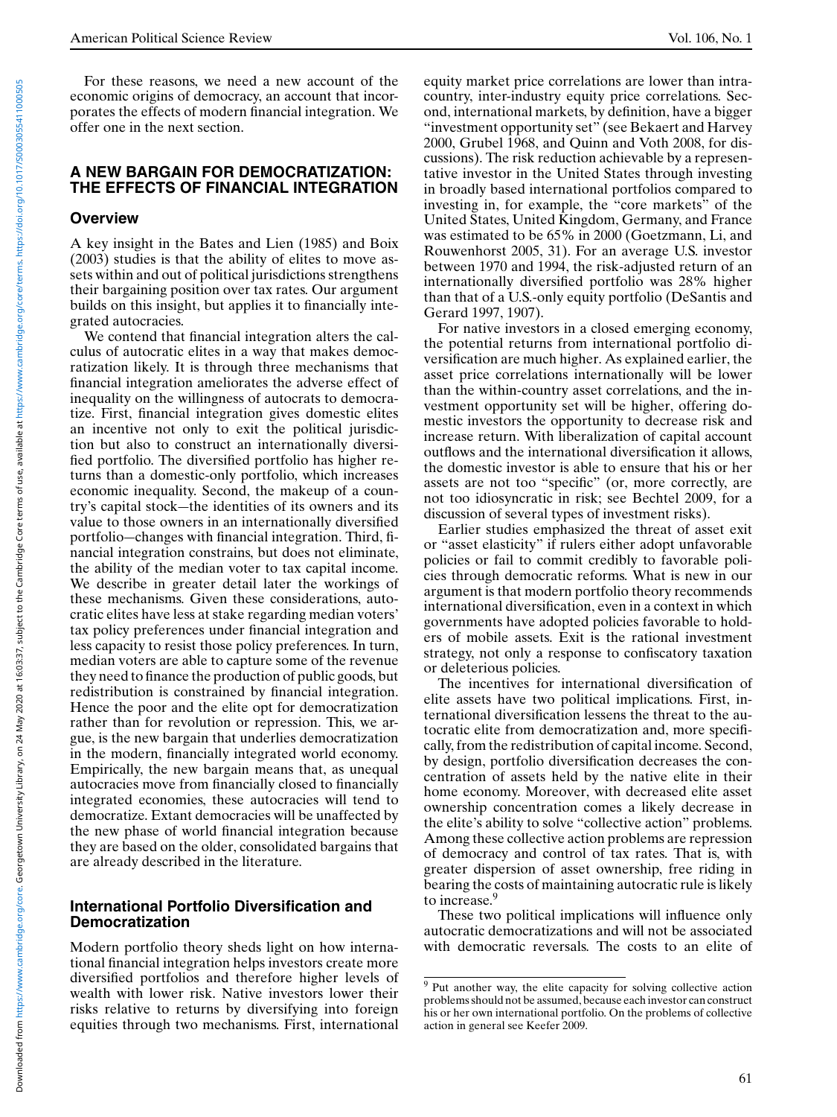For these reasons, we need a new account of the economic origins of democracy, an account that incorporates the effects of modern financial integration. We offer one in the next section.

#### **A NEW BARGAIN FOR DEMOCRATIZATION: THE EFFECTS OF FINANCIAL INTEGRATION**

#### **Overview**

A key insight in the Bates and Lien (1985) and Boix (2003) studies is that the ability of elites to move assets within and out of political jurisdictions strengthens their bargaining position over tax rates. Our argument builds on this insight, but applies it to financially integrated autocracies.

We contend that financial integration alters the calculus of autocratic elites in a way that makes democratization likely. It is through three mechanisms that financial integration ameliorates the adverse effect of inequality on the willingness of autocrats to democratize. First, financial integration gives domestic elites an incentive not only to exit the political jurisdiction but also to construct an internationally diversified portfolio. The diversified portfolio has higher returns than a domestic-only portfolio, which increases economic inequality. Second, the makeup of a country's capital stock—the identities of its owners and its value to those owners in an internationally diversified portfolio—changes with financial integration. Third, financial integration constrains, but does not eliminate, the ability of the median voter to tax capital income. We describe in greater detail later the workings of these mechanisms. Given these considerations, autocratic elites have less at stake regarding median voters' tax policy preferences under financial integration and less capacity to resist those policy preferences. In turn, median voters are able to capture some of the revenue they need to finance the production of public goods, but redistribution is constrained by financial integration. Hence the poor and the elite opt for democratization rather than for revolution or repression. This, we argue, is the new bargain that underlies democratization in the modern, financially integrated world economy. Empirically, the new bargain means that, as unequal autocracies move from financially closed to financially integrated economies, these autocracies will tend to democratize. Extant democracies will be unaffected by the new phase of world financial integration because they are based on the older, consolidated bargains that are already described in the literature.

### **International Portfolio Diversification and Democratization**

Modern portfolio theory sheds light on how international financial integration helps investors create more diversified portfolios and therefore higher levels of wealth with lower risk. Native investors lower their risks relative to returns by diversifying into foreign equities through two mechanisms. First, international

equity market price correlations are lower than intracountry, inter-industry equity price correlations. Second, international markets, by definition, have a bigger "investment opportunity set" (see Bekaert and Harvey 2000, Grubel 1968, and Quinn and Voth 2008, for discussions). The risk reduction achievable by a representative investor in the United States through investing in broadly based international portfolios compared to investing in, for example, the "core markets" of the United States, United Kingdom, Germany, and France was estimated to be 65% in 2000 (Goetzmann, Li, and Rouwenhorst 2005, 31). For an average U.S. investor between 1970 and 1994, the risk-adjusted return of an internationally diversified portfolio was 28% higher than that of a U.S.-only equity portfolio (DeSantis and Gerard 1997, 1907).

For native investors in a closed emerging economy, the potential returns from international portfolio diversification are much higher. As explained earlier, the asset price correlations internationally will be lower than the within-country asset correlations, and the investment opportunity set will be higher, offering domestic investors the opportunity to decrease risk and increase return. With liberalization of capital account outflows and the international diversification it allows, the domestic investor is able to ensure that his or her assets are not too "specific" (or, more correctly, are not too idiosyncratic in risk; see Bechtel 2009, for a discussion of several types of investment risks).

Earlier studies emphasized the threat of asset exit or "asset elasticity" if rulers either adopt unfavorable policies or fail to commit credibly to favorable policies through democratic reforms. What is new in our argument is that modern portfolio theory recommends international diversification, even in a context in which governments have adopted policies favorable to holders of mobile assets. Exit is the rational investment strategy, not only a response to confiscatory taxation or deleterious policies.

The incentives for international diversification of elite assets have two political implications. First, international diversification lessens the threat to the autocratic elite from democratization and, more specifically, from the redistribution of capital income. Second, by design, portfolio diversification decreases the concentration of assets held by the native elite in their home economy. Moreover, with decreased elite asset ownership concentration comes a likely decrease in the elite's ability to solve "collective action" problems. Among these collective action problems are repression of democracy and control of tax rates. That is, with greater dispersion of asset ownership, free riding in bearing the costs of maintaining autocratic rule is likely to increase.<sup>9</sup>

These two political implications will influence only autocratic democratizations and will not be associated with democratic reversals. The costs to an elite of

<sup>&</sup>lt;sup>9</sup> Put another way, the elite capacity for solving collective action problems should not be assumed, because each investor can construct his or her own international portfolio. On the problems of collective action in general see Keefer 2009.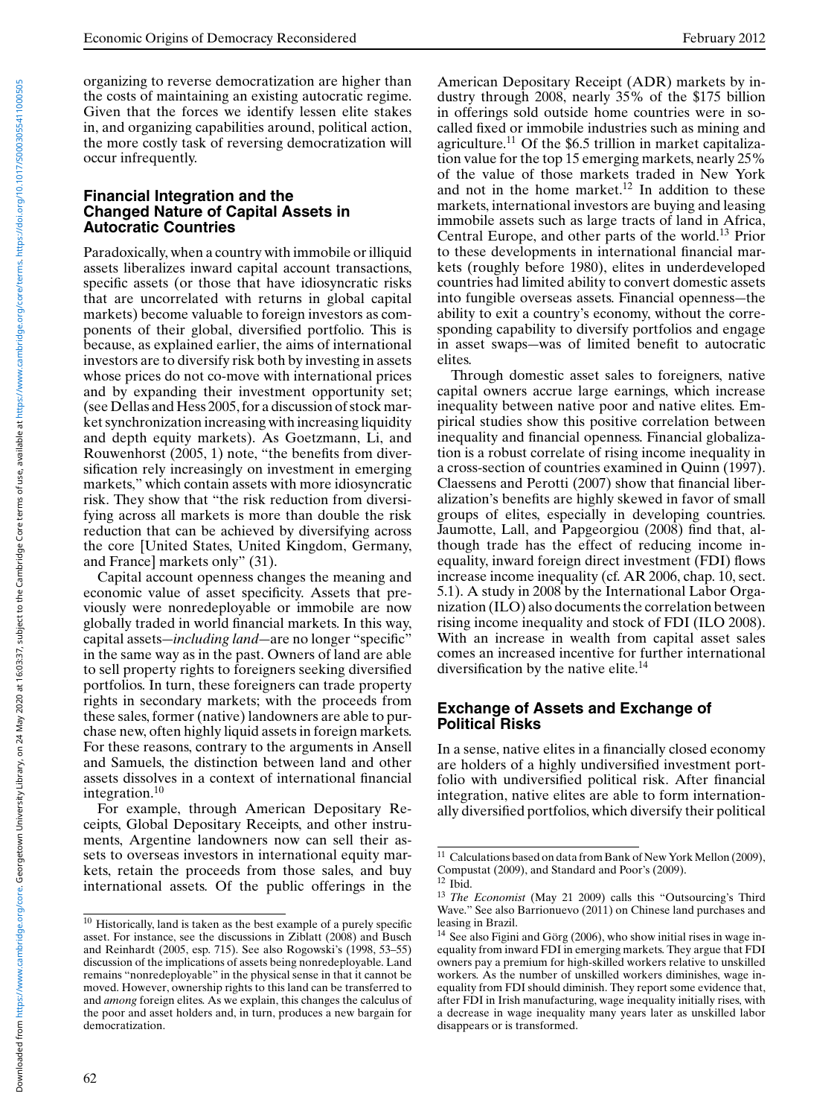organizing to reverse democratization are higher than the costs of maintaining an existing autocratic regime. Given that the forces we identify lessen elite stakes in, and organizing capabilities around, political action, the more costly task of reversing democratization will occur infrequently.

#### **Financial Integration and the Changed Nature of Capital Assets in Autocratic Countries**

Paradoxically, when a country with immobile or illiquid assets liberalizes inward capital account transactions, specific assets (or those that have idiosyncratic risks that are uncorrelated with returns in global capital markets) become valuable to foreign investors as components of their global, diversified portfolio. This is because, as explained earlier, the aims of international investors are to diversify risk both by investing in assets whose prices do not co-move with international prices and by expanding their investment opportunity set; (see Dellas and Hess 2005, for a discussion of stock market synchronization increasing with increasing liquidity and depth equity markets). As Goetzmann, Li, and Rouwenhorst (2005, 1) note, "the benefits from diversification rely increasingly on investment in emerging markets," which contain assets with more idiosyncratic risk. They show that "the risk reduction from diversifying across all markets is more than double the risk reduction that can be achieved by diversifying across the core [United States, United Kingdom, Germany, and France] markets only" (31).

Capital account openness changes the meaning and economic value of asset specificity. Assets that previously were nonredeployable or immobile are now globally traded in world financial markets. In this way, capital assets—*including land*—are no longer "specific" in the same way as in the past. Owners of land are able to sell property rights to foreigners seeking diversified portfolios. In turn, these foreigners can trade property rights in secondary markets; with the proceeds from these sales, former (native) landowners are able to purchase new, often highly liquid assets in foreign markets. For these reasons, contrary to the arguments in Ansell and Samuels, the distinction between land and other assets dissolves in a context of international financial integration.<sup>10</sup>

For example, through American Depositary Receipts, Global Depositary Receipts, and other instruments, Argentine landowners now can sell their assets to overseas investors in international equity markets, retain the proceeds from those sales, and buy international assets. Of the public offerings in the American Depositary Receipt (ADR) markets by industry through 2008, nearly 35% of the \$175 billion in offerings sold outside home countries were in socalled fixed or immobile industries such as mining and agriculture.11 Of the \$6.5 trillion in market capitalization value for the top 15 emerging markets, nearly 25% of the value of those markets traded in New York and not in the home market.<sup>12</sup> In addition to these markets, international investors are buying and leasing immobile assets such as large tracts of land in Africa, Central Europe, and other parts of the world.<sup>13</sup> Prior to these developments in international financial markets (roughly before 1980), elites in underdeveloped countries had limited ability to convert domestic assets into fungible overseas assets. Financial openness—the ability to exit a country's economy, without the corresponding capability to diversify portfolios and engage in asset swaps—was of limited benefit to autocratic elites.

Through domestic asset sales to foreigners, native capital owners accrue large earnings, which increase inequality between native poor and native elites. Empirical studies show this positive correlation between inequality and financial openness. Financial globalization is a robust correlate of rising income inequality in a cross-section of countries examined in Quinn (1997). Claessens and Perotti (2007) show that financial liberalization's benefits are highly skewed in favor of small groups of elites, especially in developing countries. Jaumotte, Lall, and Papgeorgiou (2008) find that, although trade has the effect of reducing income inequality, inward foreign direct investment (FDI) flows increase income inequality (cf. AR 2006, chap. 10, sect. 5.1). A study in 2008 by the International Labor Organization (ILO) also documents the correlation between rising income inequality and stock of FDI (ILO 2008). With an increase in wealth from capital asset sales comes an increased incentive for further international diversification by the native elite.<sup>14</sup>

### **Exchange of Assets and Exchange of Political Risks**

In a sense, native elites in a financially closed economy are holders of a highly undiversified investment portfolio with undiversified political risk. After financial integration, native elites are able to form internationally diversified portfolios, which diversify their political

<sup>&</sup>lt;sup>10</sup> Historically, land is taken as the best example of a purely specific asset. For instance, see the discussions in Ziblatt (2008) and Busch and Reinhardt (2005, esp. 715). See also Rogowski's (1998, 53–55) discussion of the implications of assets being nonredeployable. Land remains "nonredeployable" in the physical sense in that it cannot be moved. However, ownership rights to this land can be transferred to and *among* foreign elites. As we explain, this changes the calculus of the poor and asset holders and, in turn, produces a new bargain for democratization.

<sup>&</sup>lt;sup>11</sup> Calculations based on data from Bank of New York Mellon (2009), Compustat (2009), and Standard and Poor's (2009).

 $12$  Ibid.

<sup>13</sup> *The Economist* (May 21 2009) calls this "Outsourcing's Third Wave." See also Barrionuevo (2011) on Chinese land purchases and leasing in Brazil.

 $14$  See also Figini and Görg (2006), who show initial rises in wage inequality from inward FDI in emerging markets. They argue that FDI owners pay a premium for high-skilled workers relative to unskilled workers. As the number of unskilled workers diminishes, wage inequality from FDI should diminish. They report some evidence that, after FDI in Irish manufacturing, wage inequality initially rises, with a decrease in wage inequality many years later as unskilled labor disappears or is transformed.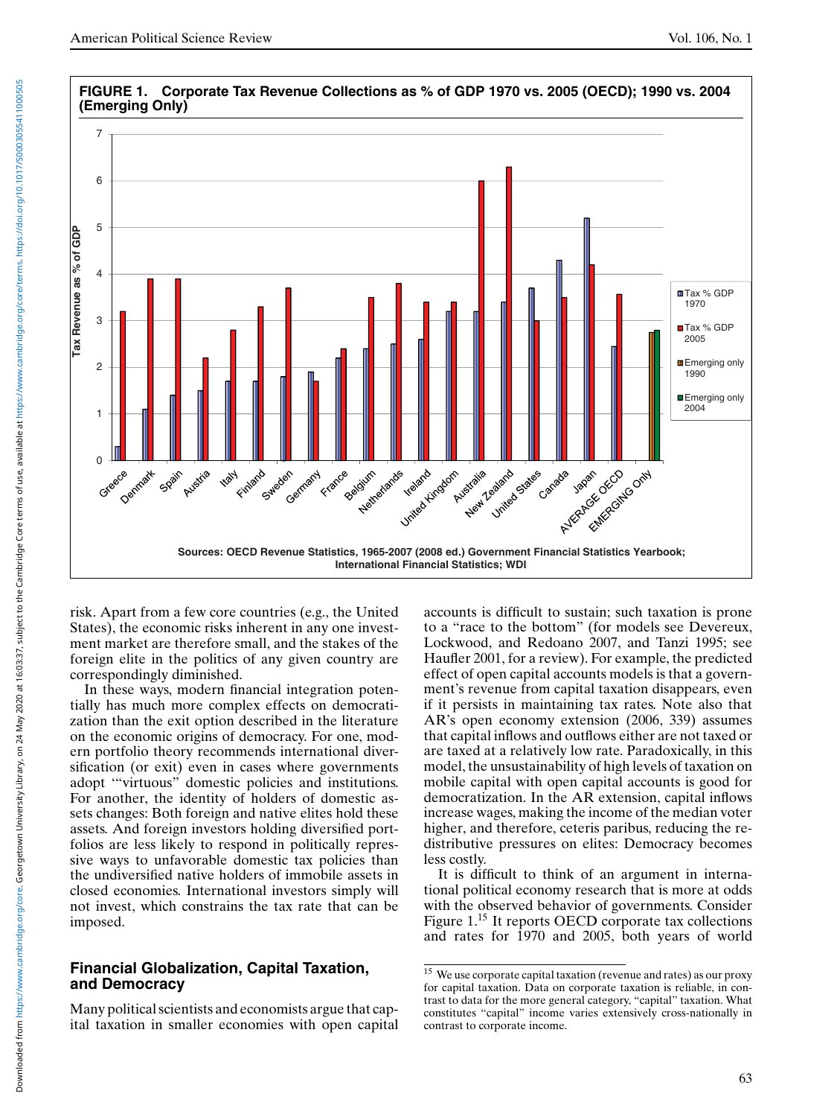

risk. Apart from a few core countries (e.g., the United States), the economic risks inherent in any one investment market are therefore small, and the stakes of the foreign elite in the politics of any given country are correspondingly diminished.

In these ways, modern financial integration potentially has much more complex effects on democratization than the exit option described in the literature on the economic origins of democracy. For one, modern portfolio theory recommends international diversification (or exit) even in cases where governments adopt '"virtuous" domestic policies and institutions. For another, the identity of holders of domestic assets changes: Both foreign and native elites hold these assets. And foreign investors holding diversified portfolios are less likely to respond in politically repressive ways to unfavorable domestic tax policies than the undiversified native holders of immobile assets in closed economies. International investors simply will not invest, which constrains the tax rate that can be imposed.

### **Financial Globalization, Capital Taxation, and Democracy**

Many political scientists and economists argue that capital taxation in smaller economies with open capital accounts is difficult to sustain; such taxation is prone to a "race to the bottom" (for models see Devereux, Lockwood, and Redoano 2007, and Tanzi 1995; see Haufler 2001, for a review). For example, the predicted effect of open capital accounts models is that a government's revenue from capital taxation disappears, even if it persists in maintaining tax rates. Note also that AR's open economy extension (2006, 339) assumes that capital inflows and outflows either are not taxed or are taxed at a relatively low rate. Paradoxically, in this model, the unsustainability of high levels of taxation on mobile capital with open capital accounts is good for democratization. In the AR extension, capital inflows increase wages, making the income of the median voter higher, and therefore, ceteris paribus, reducing the redistributive pressures on elites: Democracy becomes less costly.

It is difficult to think of an argument in international political economy research that is more at odds with the observed behavior of governments. Consider Figure 1.<sup>15</sup> It reports OECD corporate tax collections and rates for 1970 and 2005, both years of world

<sup>15</sup> We use corporate capital taxation (revenue and rates) as our proxy for capital taxation. Data on corporate taxation is reliable, in contrast to data for the more general category, "capital" taxation. What constitutes "capital" income varies extensively cross-nationally in contrast to corporate income.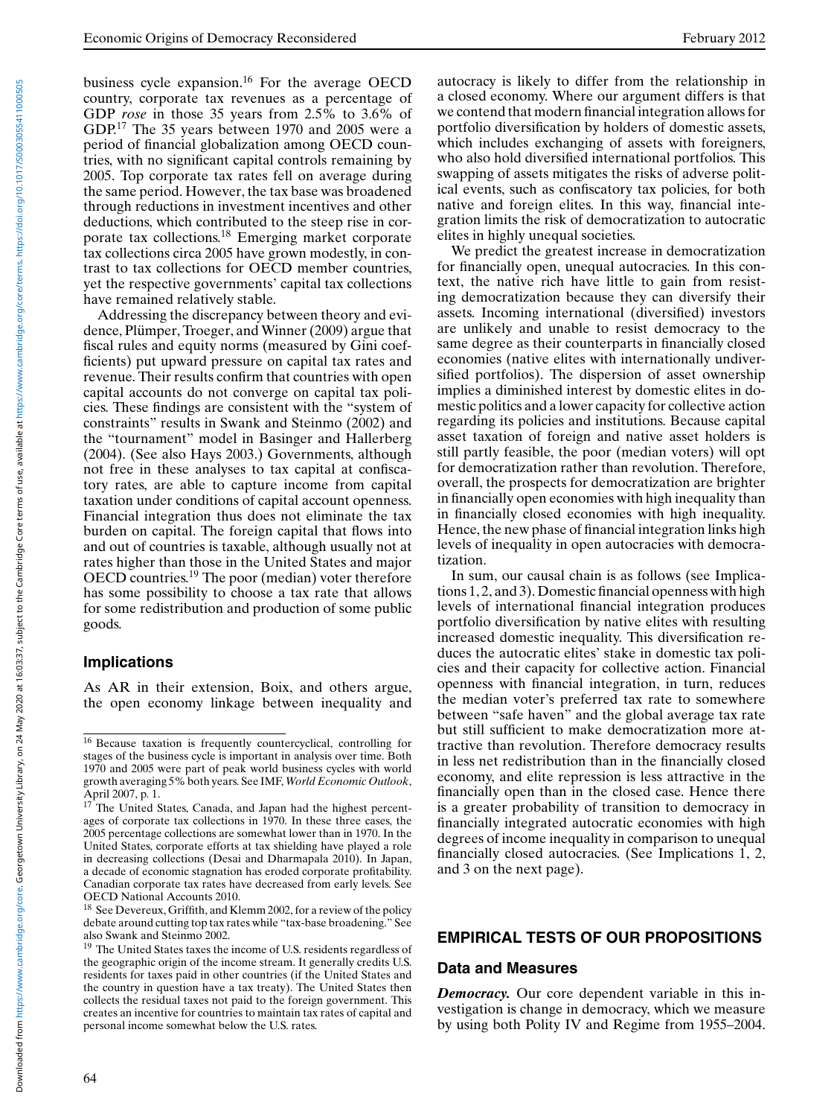business cycle expansion.<sup>16</sup> For the average OECD country, corporate tax revenues as a percentage of GDP *rose* in those 35 years from 2.5% to 3.6% of GDP.<sup>17</sup> The 35 years between 1970 and 2005 were a period of financial globalization among OECD countries, with no significant capital controls remaining by 2005. Top corporate tax rates fell on average during the same period. However, the tax base was broadened through reductions in investment incentives and other deductions, which contributed to the steep rise in corporate tax collections.<sup>18</sup> Emerging market corporate tax collections circa 2005 have grown modestly, in contrast to tax collections for OECD member countries, yet the respective governments' capital tax collections have remained relatively stable.

Addressing the discrepancy between theory and evidence, Plümper, Troeger, and Winner (2009) argue that fiscal rules and equity norms (measured by Gini coefficients) put upward pressure on capital tax rates and revenue. Their results confirm that countries with open capital accounts do not converge on capital tax policies. These findings are consistent with the "system of constraints" results in Swank and Steinmo (2002) and the "tournament" model in Basinger and Hallerberg (2004). (See also Hays 2003.) Governments, although not free in these analyses to tax capital at confiscatory rates, are able to capture income from capital taxation under conditions of capital account openness. Financial integration thus does not eliminate the tax burden on capital. The foreign capital that flows into and out of countries is taxable, although usually not at rates higher than those in the United States and major OECD countries.<sup>19</sup> The poor (median) voter therefore has some possibility to choose a tax rate that allows for some redistribution and production of some public goods.

# **Implications**

As AR in their extension, Boix, and others argue, the open economy linkage between inequality and autocracy is likely to differ from the relationship in a closed economy. Where our argument differs is that we contend that modern financial integration allows for portfolio diversification by holders of domestic assets, which includes exchanging of assets with foreigners, who also hold diversified international portfolios. This swapping of assets mitigates the risks of adverse political events, such as confiscatory tax policies, for both native and foreign elites. In this way, financial integration limits the risk of democratization to autocratic elites in highly unequal societies.

We predict the greatest increase in democratization for financially open, unequal autocracies. In this context, the native rich have little to gain from resisting democratization because they can diversify their assets. Incoming international (diversified) investors are unlikely and unable to resist democracy to the same degree as their counterparts in financially closed economies (native elites with internationally undiversified portfolios). The dispersion of asset ownership implies a diminished interest by domestic elites in domestic politics and a lower capacity for collective action regarding its policies and institutions. Because capital asset taxation of foreign and native asset holders is still partly feasible, the poor (median voters) will opt for democratization rather than revolution. Therefore, overall, the prospects for democratization are brighter in financially open economies with high inequality than in financially closed economies with high inequality. Hence, the new phase of financial integration links high levels of inequality in open autocracies with democratization.

In sum, our causal chain is as follows (see Implications 1, 2, and 3). Domestic financial openness with high levels of international financial integration produces portfolio diversification by native elites with resulting increased domestic inequality. This diversification reduces the autocratic elites' stake in domestic tax policies and their capacity for collective action. Financial openness with financial integration, in turn, reduces the median voter's preferred tax rate to somewhere between "safe haven" and the global average tax rate but still sufficient to make democratization more attractive than revolution. Therefore democracy results in less net redistribution than in the financially closed economy, and elite repression is less attractive in the financially open than in the closed case. Hence there is a greater probability of transition to democracy in financially integrated autocratic economies with high degrees of income inequality in comparison to unequal financially closed autocracies. (See Implications 1, 2, and 3 on the next page).

# **EMPIRICAL TESTS OF OUR PROPOSITIONS**

#### **Data and Measures**

*Democracy.* Our core dependent variable in this investigation is change in democracy, which we measure by using both Polity IV and Regime from 1955–2004.

<sup>16</sup> Because taxation is frequently countercyclical, controlling for stages of the business cycle is important in analysis over time. Both 1970 and 2005 were part of peak world business cycles with world growth averaging 5% both years. See IMF, *World Economic Outlook*, April 2007, p. 1.

<sup>&</sup>lt;sup>17</sup> The United States, Canada, and Japan had the highest percentages of corporate tax collections in 1970. In these three cases, the 2005 percentage collections are somewhat lower than in 1970. In the United States, corporate efforts at tax shielding have played a role in decreasing collections (Desai and Dharmapala 2010). In Japan, a decade of economic stagnation has eroded corporate profitability. Canadian corporate tax rates have decreased from early levels. See OECD National Accounts 2010.

<sup>&</sup>lt;sup>18</sup> See Devereux, Griffith, and Klemm 2002, for a review of the policy debate around cutting top tax rates while "tax-base broadening." See also Swank and Steinmo 2002.

<sup>&</sup>lt;sup>19</sup> The United States taxes the income of U.S. residents regardless of the geographic origin of the income stream. It generally credits U.S. residents for taxes paid in other countries (if the United States and the country in question have a tax treaty). The United States then collects the residual taxes not paid to the foreign government. This creates an incentive for countries to maintain tax rates of capital and personal income somewhat below the U.S. rates.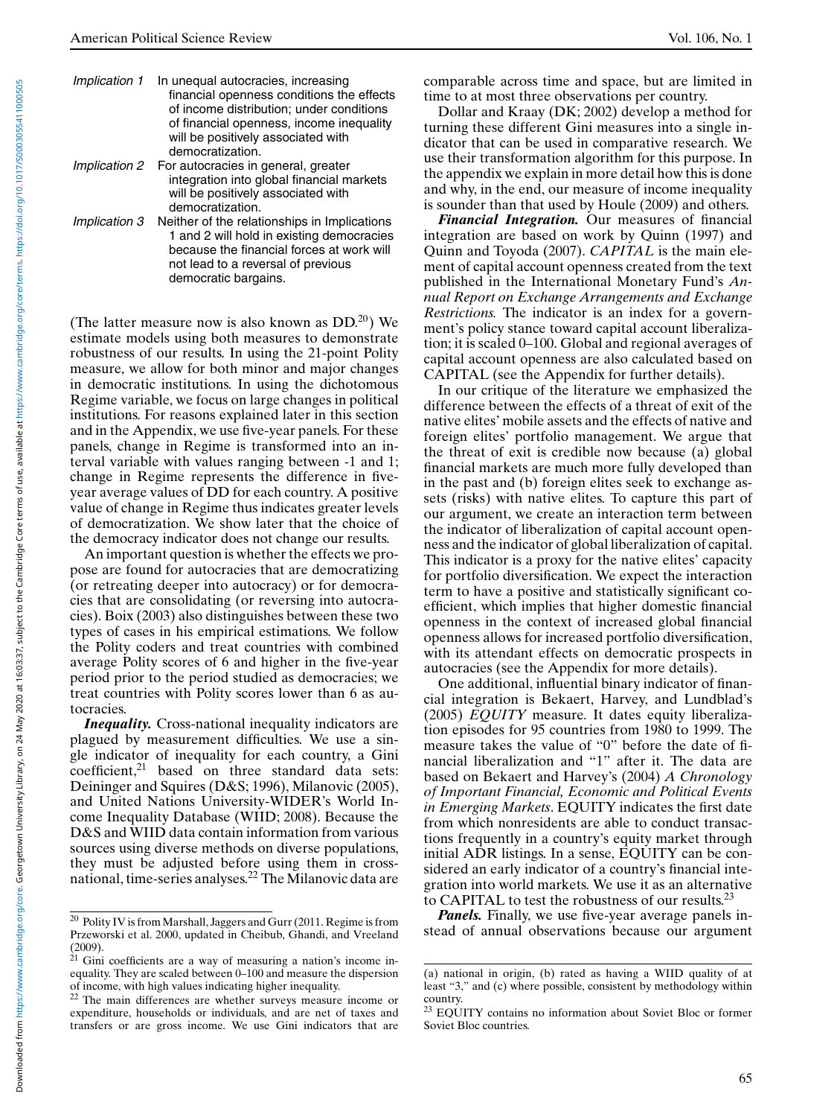| Implication 1 | In unequal autocracies, increasing<br>financial openness conditions the effects<br>of income distribution; under conditions<br>of financial openness, income inequality<br>will be positively associated with |
|---------------|---------------------------------------------------------------------------------------------------------------------------------------------------------------------------------------------------------------|
|               | democratization.                                                                                                                                                                                              |
| Implication 2 | For autocracies in general, greater<br>integration into global financial markets<br>will be positively associated with<br>democratization.                                                                    |
| Implication 3 | Neither of the relationships in Implications<br>1 and 2 will hold in existing democracies<br>because the financial forces at work will                                                                        |

democratic bargains.

not lead to a reversal of previous

(The latter measure now is also known as  $DD^{20}$ ) We estimate models using both measures to demonstrate robustness of our results. In using the 21-point Polity measure, we allow for both minor and major changes in democratic institutions. In using the dichotomous Regime variable, we focus on large changes in political institutions. For reasons explained later in this section and in the Appendix, we use five-year panels. For these panels, change in Regime is transformed into an interval variable with values ranging between -1 and 1; change in Regime represents the difference in fiveyear average values of DD for each country. A positive value of change in Regime thus indicates greater levels of democratization. We show later that the choice of the democracy indicator does not change our results.

An important question is whether the effects we propose are found for autocracies that are democratizing (or retreating deeper into autocracy) or for democracies that are consolidating (or reversing into autocracies). Boix (2003) also distinguishes between these two types of cases in his empirical estimations. We follow the Polity coders and treat countries with combined average Polity scores of 6 and higher in the five-year period prior to the period studied as democracies; we treat countries with Polity scores lower than 6 as autocracies.

*Inequality.* Cross-national inequality indicators are plagued by measurement difficulties. We use a single indicator of inequality for each country, a Gini coefficient,<sup>21</sup> based on three standard data sets: Deininger and Squires (D&S; 1996), Milanovic (2005), and United Nations University-WIDER's World Income Inequality Database (WIID; 2008). Because the D&S and WIID data contain information from various sources using diverse methods on diverse populations, they must be adjusted before using them in crossnational, time-series analyses.22 The Milanovic data are

comparable across time and space, but are limited in time to at most three observations per country.

Dollar and Kraay (DK; 2002) develop a method for turning these different Gini measures into a single indicator that can be used in comparative research. We use their transformation algorithm for this purpose. In the appendix we explain in more detail how this is done and why, in the end, our measure of income inequality is sounder than that used by Houle (2009) and others.

*Financial Integration.* Our measures of financial integration are based on work by Quinn (1997) and Quinn and Toyoda (2007). *CAPITAL* is the main element of capital account openness created from the text published in the International Monetary Fund's *Annual Report on Exchange Arrangements and Exchange Restrictions.* The indicator is an index for a government's policy stance toward capital account liberalization; it is scaled 0–100. Global and regional averages of capital account openness are also calculated based on CAPITAL (see the Appendix for further details).

In our critique of the literature we emphasized the difference between the effects of a threat of exit of the native elites' mobile assets and the effects of native and foreign elites' portfolio management. We argue that the threat of exit is credible now because (a) global financial markets are much more fully developed than in the past and (b) foreign elites seek to exchange assets (risks) with native elites. To capture this part of our argument, we create an interaction term between the indicator of liberalization of capital account openness and the indicator of global liberalization of capital. This indicator is a proxy for the native elites' capacity for portfolio diversification. We expect the interaction term to have a positive and statistically significant coefficient, which implies that higher domestic financial openness in the context of increased global financial openness allows for increased portfolio diversification, with its attendant effects on democratic prospects in autocracies (see the Appendix for more details).

One additional, influential binary indicator of financial integration is Bekaert, Harvey, and Lundblad's (2005) *EQUITY* measure. It dates equity liberalization episodes for 95 countries from 1980 to 1999. The measure takes the value of "0" before the date of financial liberalization and "1" after it. The data are based on Bekaert and Harvey's (2004) *A Chronology of Important Financial, Economic and Political Events in Emerging Markets*. EQUITY indicates the first date from which nonresidents are able to conduct transactions frequently in a country's equity market through initial ADR listings. In a sense, EQUITY can be considered an early indicator of a country's financial integration into world markets. We use it as an alternative to CAPITAL to test the robustness of our results.<sup>23</sup>

*Panels.* Finally, we use five-year average panels instead of annual observations because our argument

 $^{20}$  Polity IV is from Marshall, Jaggers and Gurr (2011. Regime is from Przeworski et al. 2000, updated in Cheibub, Ghandi, and Vreeland (2009).

 $21$  Gini coefficients are a way of measuring a nation's income inequality. They are scaled between 0–100 and measure the dispersion of income, with high values indicating higher inequality.

<sup>22</sup> The main differences are whether surveys measure income or expenditure, households or individuals, and are net of taxes and transfers or are gross income. We use Gini indicators that are

<sup>(</sup>a) national in origin, (b) rated as having a WIID quality of at least "3," and (c) where possible, consistent by methodology within country.

<sup>&</sup>lt;sup>23</sup> EQUITY contains no information about Soviet Bloc or former Soviet Bloc countries.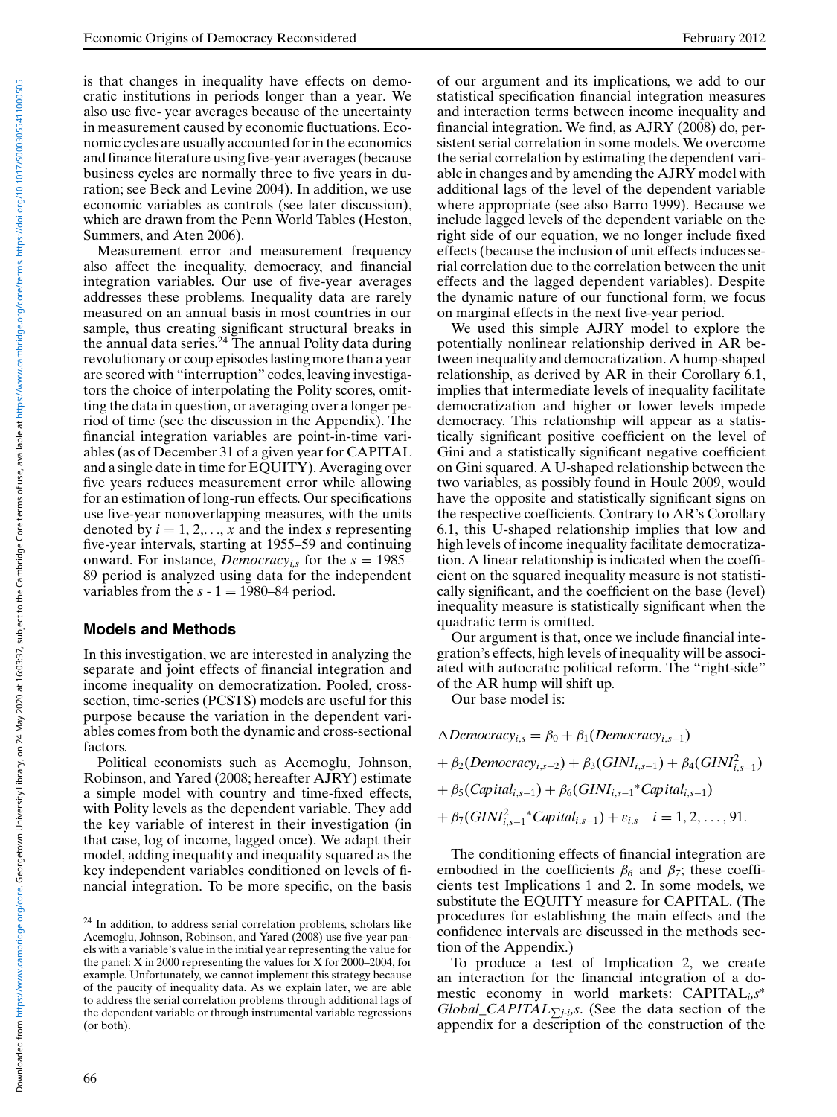is that changes in inequality have effects on democratic institutions in periods longer than a year. We also use five- year averages because of the uncertainty in measurement caused by economic fluctuations. Economic cycles are usually accounted for in the economics and finance literature using five-year averages (because business cycles are normally three to five years in duration; see Beck and Levine 2004). In addition, we use economic variables as controls (see later discussion), which are drawn from the Penn World Tables (Heston, Summers, and Aten 2006).

Measurement error and measurement frequency also affect the inequality, democracy, and financial integration variables. Our use of five-year averages addresses these problems. Inequality data are rarely measured on an annual basis in most countries in our sample, thus creating significant structural breaks in the annual data series. $24$  The annual Polity data during revolutionary or coup episodes lasting more than a year are scored with "interruption" codes, leaving investigators the choice of interpolating the Polity scores, omitting the data in question, or averaging over a longer period of time (see the discussion in the Appendix). The financial integration variables are point-in-time variables (as of December 31 of a given year for CAPITAL and a single date in time for EQUITY). Averaging over five years reduces measurement error while allowing for an estimation of long-run effects. Our specifications use five-year nonoverlapping measures, with the units denoted by  $i = 1, 2, \ldots, x$  and the index *s* representing five-year intervals, starting at 1955–59 and continuing onward. For instance, *Democracy*<sub>is</sub> for the  $s = 1985-$ 89 period is analyzed using data for the independent variables from the  $s - 1 = 1980-84$  period.

#### **Models and Methods**

In this investigation, we are interested in analyzing the separate and joint effects of financial integration and income inequality on democratization. Pooled, crosssection, time-series (PCSTS) models are useful for this purpose because the variation in the dependent variables comes from both the dynamic and cross-sectional factors.

Political economists such as Acemoglu, Johnson, Robinson, and Yared (2008; hereafter AJRY) estimate a simple model with country and time-fixed effects, with Polity levels as the dependent variable. They add the key variable of interest in their investigation (in that case, log of income, lagged once). We adapt their model, adding inequality and inequality squared as the key independent variables conditioned on levels of financial integration. To be more specific, on the basis

of our argument and its implications, we add to our statistical specification financial integration measures and interaction terms between income inequality and financial integration. We find, as AJRY (2008) do, persistent serial correlation in some models. We overcome the serial correlation by estimating the dependent variable in changes and by amending the AJRY model with additional lags of the level of the dependent variable where appropriate (see also Barro 1999). Because we include lagged levels of the dependent variable on the right side of our equation, we no longer include fixed effects (because the inclusion of unit effects induces serial correlation due to the correlation between the unit effects and the lagged dependent variables). Despite the dynamic nature of our functional form, we focus on marginal effects in the next five-year period.

We used this simple AJRY model to explore the potentially nonlinear relationship derived in AR between inequality and democratization. A hump-shaped relationship, as derived by AR in their Corollary 6.1, implies that intermediate levels of inequality facilitate democratization and higher or lower levels impede democracy. This relationship will appear as a statistically significant positive coefficient on the level of Gini and a statistically significant negative coefficient on Gini squared. A U-shaped relationship between the two variables, as possibly found in Houle 2009, would have the opposite and statistically significant signs on the respective coefficients. Contrary to AR's Corollary 6.1, this U-shaped relationship implies that low and high levels of income inequality facilitate democratization. A linear relationship is indicated when the coefficient on the squared inequality measure is not statistically significant, and the coefficient on the base (level) inequality measure is statistically significant when the quadratic term is omitted.

Our argument is that, once we include financial integration's effects, high levels of inequality will be associated with autocratic political reform. The "right-side" of the AR hump will shift up.

Our base model is:

 $\triangle Democrac{y_{i,s}} = \beta_0 + \beta_1(Democrac{y_{i,s-1}})$  $+ \beta_2(Democracy_{i,s-2}) + \beta_3(GINI_{i,s-1}) + \beta_4(GINI_{i,s-1}^2)$  $+ \beta_5(Capital_{i,s-1}) + \beta_6(GINI_{i,s-1}^*Capital_{i,s-1})$  $+ \beta_7(GINl_{i,s-1}^2^* \text{Capital}_{i,s-1}) + \varepsilon_{i,s} \quad i = 1, 2, ..., 91.$ 

The conditioning effects of financial integration are embodied in the coefficients  $\beta_6$  and  $\beta_7$ ; these coefficients test Implications 1 and 2. In some models, we substitute the EQUITY measure for CAPITAL. (The procedures for establishing the main effects and the confidence intervals are discussed in the methods section of the Appendix.)

To produce a test of Implication 2, we create an interaction for the financial integration of a domestic economy in world markets: CAPITAL*i,s*<sup>∗</sup> *Global\_CAPITAL* $\sum_{i}$ *j<sub>-i</sub>*,*s*. (See the data section of the appendix for a description of the construction of the

 $24$  In addition, to address serial correlation problems, scholars like Acemoglu, Johnson, Robinson, and Yared (2008) use five-year panels with a variable's value in the initial year representing the value for the panel: X in 2000 representing the values for X for 2000–2004, for example. Unfortunately, we cannot implement this strategy because of the paucity of inequality data. As we explain later, we are able to address the serial correlation problems through additional lags of the dependent variable or through instrumental variable regressions (or both).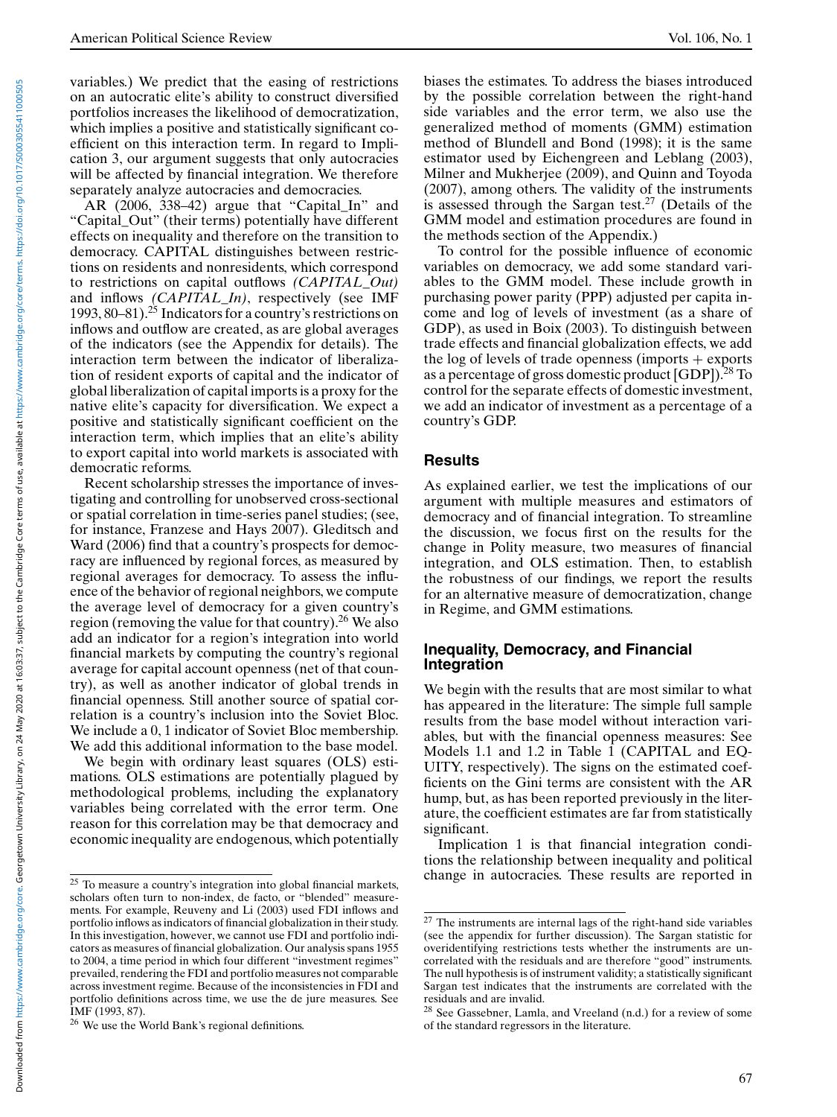variables.) We predict that the easing of restrictions on an autocratic elite's ability to construct diversified portfolios increases the likelihood of democratization, which implies a positive and statistically significant coefficient on this interaction term. In regard to Implication 3, our argument suggests that only autocracies will be affected by financial integration. We therefore separately analyze autocracies and democracies.

AR (2006, 338–42) argue that "Capital\_In" and "Capital\_Out" (their terms) potentially have different effects on inequality and therefore on the transition to democracy. CAPITAL distinguishes between restrictions on residents and nonresidents, which correspond to restrictions on capital outflows *(CAPITAL\_Out)* and inflows *(CAPITAL\_In)*, respectively (see IMF 1993, 80–81).<sup>25</sup> Indicators for a country's restrictions on inflows and outflow are created, as are global averages of the indicators (see the Appendix for details). The interaction term between the indicator of liberalization of resident exports of capital and the indicator of global liberalization of capital imports is a proxy for the native elite's capacity for diversification. We expect a positive and statistically significant coefficient on the interaction term, which implies that an elite's ability to export capital into world markets is associated with democratic reforms.

Recent scholarship stresses the importance of investigating and controlling for unobserved cross-sectional or spatial correlation in time-series panel studies; (see, for instance, Franzese and Hays 2007). Gleditsch and Ward (2006) find that a country's prospects for democracy are influenced by regional forces, as measured by regional averages for democracy. To assess the influence of the behavior of regional neighbors, we compute the average level of democracy for a given country's region (removing the value for that country).26 We also add an indicator for a region's integration into world financial markets by computing the country's regional average for capital account openness (net of that country), as well as another indicator of global trends in financial openness. Still another source of spatial correlation is a country's inclusion into the Soviet Bloc. We include a 0, 1 indicator of Soviet Bloc membership. We add this additional information to the base model.

We begin with ordinary least squares (OLS) estimations. OLS estimations are potentially plagued by methodological problems, including the explanatory variables being correlated with the error term. One reason for this correlation may be that democracy and economic inequality are endogenous, which potentially

biases the estimates. To address the biases introduced by the possible correlation between the right-hand side variables and the error term, we also use the generalized method of moments (GMM) estimation method of Blundell and Bond (1998); it is the same estimator used by Eichengreen and Leblang (2003), Milner and Mukherjee (2009), and Quinn and Toyoda (2007), among others. The validity of the instruments is assessed through the Sargan test.<sup>27</sup> (Details of the GMM model and estimation procedures are found in the methods section of the Appendix.)

To control for the possible influence of economic variables on democracy, we add some standard variables to the GMM model. These include growth in purchasing power parity (PPP) adjusted per capita income and log of levels of investment (as a share of GDP), as used in Boix (2003). To distinguish between trade effects and financial globalization effects, we add the log of levels of trade openness (imports  $+$  exports as a percentage of gross domestic product [GDP]).28 To control for the separate effects of domestic investment, we add an indicator of investment as a percentage of a country's GDP.

#### **Results**

As explained earlier, we test the implications of our argument with multiple measures and estimators of democracy and of financial integration. To streamline the discussion, we focus first on the results for the change in Polity measure, two measures of financial integration, and OLS estimation. Then, to establish the robustness of our findings, we report the results for an alternative measure of democratization, change in Regime, and GMM estimations.

#### **Inequality, Democracy, and Financial Integration**

We begin with the results that are most similar to what has appeared in the literature: The simple full sample results from the base model without interaction variables, but with the financial openness measures: See Models 1.1 and 1.2 in Table 1 (CAPITAL and EQ-UITY, respectively). The signs on the estimated coefficients on the Gini terms are consistent with the AR hump, but, as has been reported previously in the literature, the coefficient estimates are far from statistically significant.

Implication 1 is that financial integration conditions the relationship between inequality and political change in autocracies. These results are reported in

<sup>&</sup>lt;sup>25</sup> To measure a country's integration into global financial markets, scholars often turn to non-index, de facto, or "blended" measurements. For example, Reuveny and Li (2003) used FDI inflows and portfolio inflows as indicators of financial globalization in their study. In this investigation, however, we cannot use FDI and portfolio indicators as measures of financial globalization. Our analysis spans 1955 to 2004, a time period in which four different "investment regimes" prevailed, rendering the FDI and portfolio measures not comparable across investment regime. Because of the inconsistencies in FDI and portfolio definitions across time, we use the de jure measures. See IMF (1993, 87).

<sup>26</sup> We use the World Bank's regional definitions.

 $\overline{27}$  The instruments are internal lags of the right-hand side variables (see the appendix for further discussion). The Sargan statistic for overidentifying restrictions tests whether the instruments are uncorrelated with the residuals and are therefore "good" instruments. The null hypothesis is of instrument validity; a statistically significant Sargan test indicates that the instruments are correlated with the residuals and are invalid.

<sup>&</sup>lt;sup>28</sup> See Gassebner, Lamla, and Vreeland (n.d.) for a review of some of the standard regressors in the literature.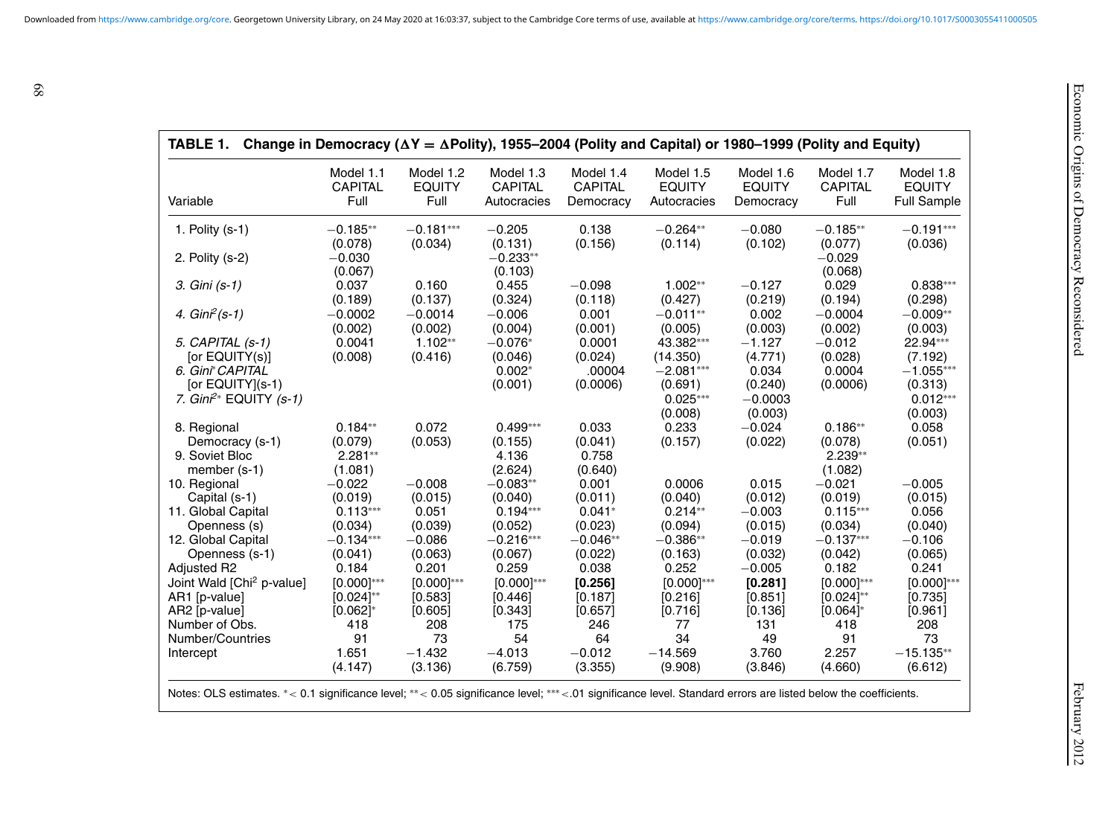| Variable                                                           | Model 1.1                      | Model 1.2       | Model 1.3                        | Model 1.4          | Model 1.5                                       | Model 1.6                                | Model 1.7                      | Model 1.8                                       |
|--------------------------------------------------------------------|--------------------------------|-----------------|----------------------------------|--------------------|-------------------------------------------------|------------------------------------------|--------------------------------|-------------------------------------------------|
|                                                                    | <b>CAPITAL</b>                 | <b>EQUITY</b>   | <b>CAPITAL</b>                   | <b>CAPITAL</b>     | <b>EQUITY</b>                                   | <b>EQUITY</b>                            | <b>CAPITAL</b>                 | <b>EQUITY</b>                                   |
|                                                                    | Full                           | Full            | Autocracies                      | Democracy          | Autocracies                                     | Democracy                                | Full                           | <b>Full Sample</b>                              |
| 1. Polity $(s-1)$                                                  | $-0.185**$                     | $-0.181***$     | $-0.205$                         | 0.138              | $-0.264**$                                      | $-0.080$                                 | $-0.185**$                     | $-0.191***$                                     |
| 2. Polity (s-2)                                                    | (0.078)<br>$-0.030$<br>(0.067) | (0.034)         | (0.131)<br>$-0.233**$<br>(0.103) | (0.156)            | (0.114)                                         | (0.102)                                  | (0.077)<br>$-0.029$<br>(0.068) | (0.036)                                         |
| 3. Gini (s-1)                                                      | 0.037                          | 0.160           | 0.455                            | $-0.098$           | $1.002**$                                       | $-0.127$                                 | 0.029                          | $0.838***$                                      |
|                                                                    | (0.189)                        | (0.137)         | (0.324)                          | (0.118)            | (0.427)                                         | (0.219)                                  | (0.194)                        | (0.298)                                         |
| 4. $Gin^2(s-1)$                                                    | $-0.0002$                      | $-0.0014$       | $-0.006$                         | 0.001              | $-0.011**$                                      | 0.002                                    | $-0.0004$                      | $-0.009**$                                      |
|                                                                    | (0.002)                        | (0.002)         | (0.004)                          | (0.001)            | (0.005)                                         | (0.003)                                  | (0.002)                        | (0.003)                                         |
| 5. CAPITAL (s-1)                                                   | 0.0041                         | $1.102**$       | $-0.076*$                        | 0.0001             | 43.382 ***                                      | $-1.127$                                 | $-0.012$                       | 22.94***                                        |
| [or EQUITY(s)]                                                     | (0.008)                        | (0.416)         | (0.046)                          | (0.024)            | (14.350)                                        | (4.771)                                  | (0.028)                        | (7.192)                                         |
| 6. Gini* CAPITAL<br>[or EQUITY](s-1)<br>7. $Gin^{2*}$ EQUITY (s-1) |                                |                 | $0.002*$<br>(0.001)              | .00004<br>(0.0006) | $-2.081***$<br>(0.691)<br>$0.025***$<br>(0.008) | 0.034<br>(0.240)<br>$-0.0003$<br>(0.003) | 0.0004<br>(0.0006)             | $-1.055***$<br>(0.313)<br>$0.012***$<br>(0.003) |
| 8. Regional                                                        | $0.184**$                      | 0.072           | $0.499***$                       | 0.033              | 0.233                                           | $-0.024$                                 | $0.186**$                      | 0.058                                           |
| Democracy (s-1)                                                    | (0.079)                        | (0.053)         | (0.155)                          | (0.041)            | (0.157)                                         | (0.022)                                  | (0.078)                        | (0.051)                                         |
| 9. Soviet Bloc<br>member (s-1)                                     | 2.281**<br>(1.081)             |                 | 4.136<br>(2.624)                 | 0.758<br>(0.640)   |                                                 |                                          | 2.239**<br>(1.082)             |                                                 |
| 10. Regional                                                       | $-0.022$                       | $-0.008$        | $-0.083**$                       | 0.001              | 0.0006                                          | 0.015                                    | $-0.021$                       | $-0.005$                                        |
| Capital (s-1)                                                      | (0.019)                        | (0.015)         | (0.040)                          | (0.011)            | (0.040)                                         | (0.012)                                  | (0.019)                        | (0.015)                                         |
| 11. Global Capital                                                 | $0.113***$                     | 0.051           | $0.194***$                       | $0.041*$           | $0.214**$                                       | $-0.003$                                 | $0.115***$                     | 0.056                                           |
| Openness (s)                                                       | (0.034)                        | (0.039)         | (0.052)                          | (0.023)            | (0.094)                                         | (0.015)                                  | (0.034)                        | (0.040)                                         |
| 12. Global Capital                                                 | $-0.134***$                    | $-0.086$        | $-0.216***$                      | $-0.046**$         | $-0.386**$                                      | $-0.019$                                 | $-0.137***$                    | $-0.106$                                        |
| Openness (s-1)                                                     | (0.041)                        | (0.063)         | (0.067)                          | (0.022)            | (0.163)                                         | (0.032)                                  | (0.042)                        | (0.065)                                         |
| Adjusted R2                                                        | 0.184                          | 0.201           | 0.259                            | 0.038              | 0.252                                           | $-0.005$                                 | 0.182                          | 0.241                                           |
| Joint Wald [Chi <sup>2</sup> p-value]                              | $[0.000]^{***}$                | $[0.000]^{***}$ | $[0.000]^{***}$                  | [0.256]            | $[0.000]^{***}$                                 | [0.281]                                  | $[0.000]^{***}$                | $[0.000]^{***}$                                 |
| AR1 [p-value]                                                      | $[0.024]^{**}$                 | [0.583]         | [0.446]                          | [0.187]            | [0.216]                                         | [0.851]                                  | $[0.024]^{**}$                 | [0.735]                                         |
| AR2 [p-value]                                                      | $[0.062]$ *                    | [0.605]         | [0.343]                          | [0.657]            | [0.716]                                         | [0.136]                                  | $[0.064]$ *                    | [0.961]                                         |
| Number of Obs.                                                     | 418                            | 208             | 175                              | 246                | 77                                              | 131                                      | 418                            | 208                                             |
| Number/Countries                                                   | 91                             | 73              | 54                               | 64                 | 34                                              | 49                                       | 91                             | 73                                              |
| Intercept                                                          | 1.651                          | $-1.432$        | $-4.013$                         | $-0.012$           | $-14.569$                                       | 3.760                                    | 2.257                          | $-15.135**$                                     |
|                                                                    | (4.147)                        | (3.136)         | (6.759)                          | (3.355)            | (9.908)                                         | (3.846)                                  | (4.660)                        | (6.612)                                         |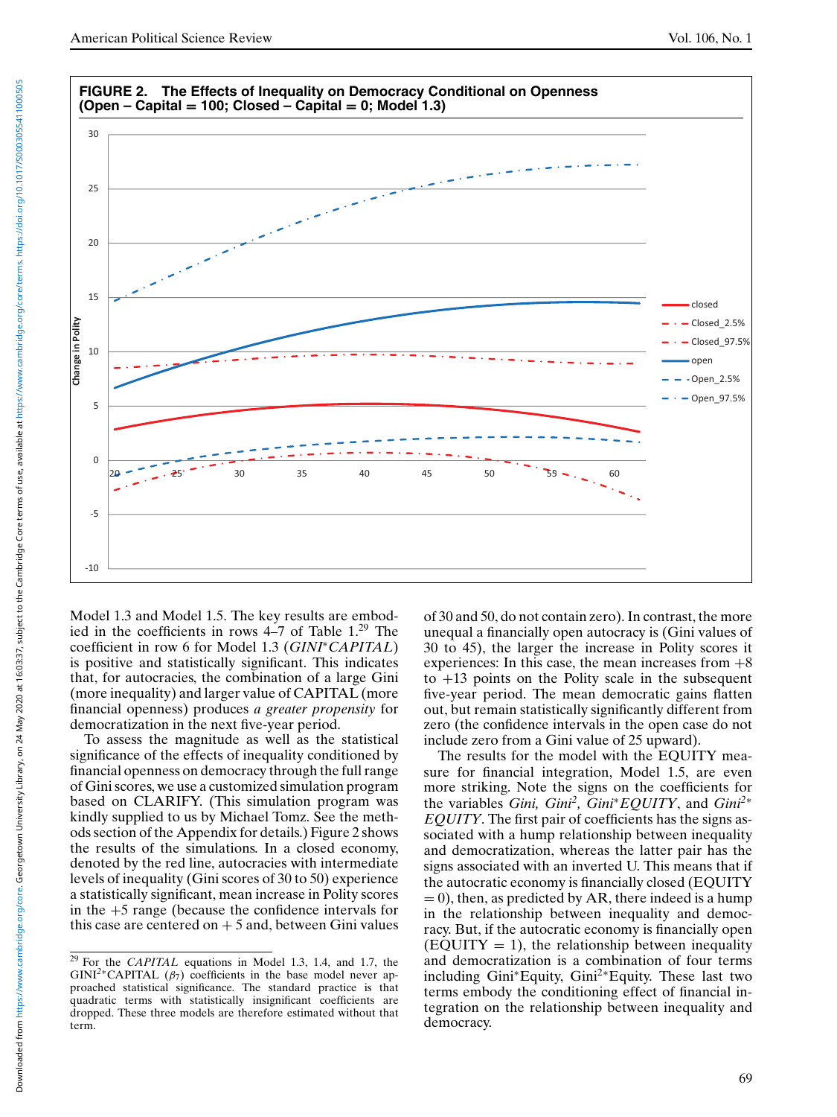

Model 1.3 and Model 1.5. The key results are embodied in the coefficients in rows  $4-7$  of Table  $1.^{29}$  The coefficient in row 6 for Model 1.3 (*GINI*∗*CAPITAL*) is positive and statistically significant. This indicates that, for autocracies, the combination of a large Gini (more inequality) and larger value of CAPITAL (more financial openness) produces *a greater propensity* for democratization in the next five-year period.

To assess the magnitude as well as the statistical significance of the effects of inequality conditioned by financial openness on democracy through the full range of Gini scores, we use a customized simulation program based on CLARIFY. (This simulation program was kindly supplied to us by Michael Tomz. See the methods section of the Appendix for details.) Figure 2 shows the results of the simulations. In a closed economy, denoted by the red line, autocracies with intermediate levels of inequality (Gini scores of 30 to 50) experience a statistically significant, mean increase in Polity scores in the  $+5$  range (because the confidence intervals for this case are centered on  $+5$  and, between Gini values

of 30 and 50, do not contain zero). In contrast, the more unequal a financially open autocracy is (Gini values of 30 to 45), the larger the increase in Polity scores it experiences: In this case, the mean increases from  $+8$ to  $+13$  points on the Polity scale in the subsequent five-year period. The mean democratic gains flatten out, but remain statistically significantly different from zero (the confidence intervals in the open case do not include zero from a Gini value of 25 upward).

The results for the model with the EQUITY measure for financial integration, Model 1.5, are even more striking. Note the signs on the coefficients for the variables *Gini, Gini2, Gini*∗*EQUITY*, and *Gini<sup>2</sup>*<sup>∗</sup> *EQUITY*. The first pair of coefficients has the signs associated with a hump relationship between inequality and democratization, whereas the latter pair has the signs associated with an inverted U. This means that if the autocratic economy is financially closed (EQUITY  $= 0$ ), then, as predicted by AR, there indeed is a hump in the relationship between inequality and democracy. But, if the autocratic economy is financially open  $(EQUITY = 1)$ , the relationship between inequality and democratization is a combination of four terms including Gini∗Equity, Gini2∗Equity. These last two terms embody the conditioning effect of financial integration on the relationship between inequality and democracy.

<sup>29</sup> For the *CAPITAL* equations in Model 1.3, 1.4, and 1.7, the GINI<sup>2</sup>\*CAPITAL ( $\beta$ <sub>7</sub>) coefficients in the base model never approached statistical significance. The standard practice is that quadratic terms with statistically insignificant coefficients are dropped. These three models are therefore estimated without that term.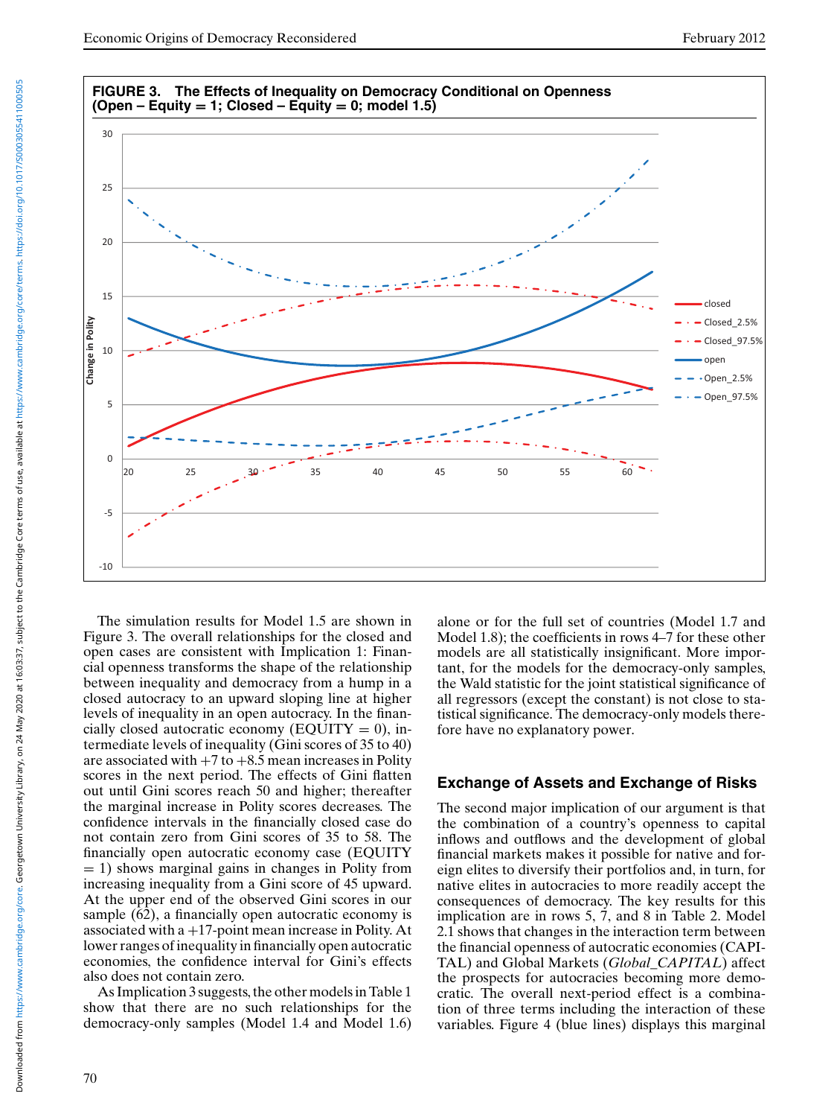

The simulation results for Model 1.5 are shown in Figure 3. The overall relationships for the closed and open cases are consistent with Implication 1: Financial openness transforms the shape of the relationship between inequality and democracy from a hump in a closed autocracy to an upward sloping line at higher levels of inequality in an open autocracy. In the financially closed autocratic economy (EQUITY =  $0$ ), intermediate levels of inequality (Gini scores of 35 to 40) are associated with  $+7$  to  $+8.5$  mean increases in Polity scores in the next period. The effects of Gini flatten out until Gini scores reach 50 and higher; thereafter the marginal increase in Polity scores decreases. The confidence intervals in the financially closed case do not contain zero from Gini scores of 35 to 58. The financially open autocratic economy case (EQUITY = 1) shows marginal gains in changes in Polity from increasing inequality from a Gini score of 45 upward. At the upper end of the observed Gini scores in our sample (62), a financially open autocratic economy is associated with  $a + 17$ -point mean increase in Polity. At lower ranges of inequality in financially open autocratic economies, the confidence interval for Gini's effects also does not contain zero.

As Implication 3 suggests, the other models in Table 1 show that there are no such relationships for the democracy-only samples (Model 1.4 and Model 1.6) alone or for the full set of countries (Model 1.7 and Model 1.8); the coefficients in rows 4–7 for these other models are all statistically insignificant. More important, for the models for the democracy-only samples, the Wald statistic for the joint statistical significance of all regressors (except the constant) is not close to statistical significance. The democracy-only models therefore have no explanatory power.

## **Exchange of Assets and Exchange of Risks**

The second major implication of our argument is that the combination of a country's openness to capital inflows and outflows and the development of global financial markets makes it possible for native and foreign elites to diversify their portfolios and, in turn, for native elites in autocracies to more readily accept the consequences of democracy. The key results for this implication are in rows 5, 7, and 8 in Table 2. Model 2.1 shows that changes in the interaction term between the financial openness of autocratic economies (CAPI-TAL) and Global Markets (*Global\_CAPITAL*) affect the prospects for autocracies becoming more democratic. The overall next-period effect is a combination of three terms including the interaction of these variables. Figure 4 (blue lines) displays this marginal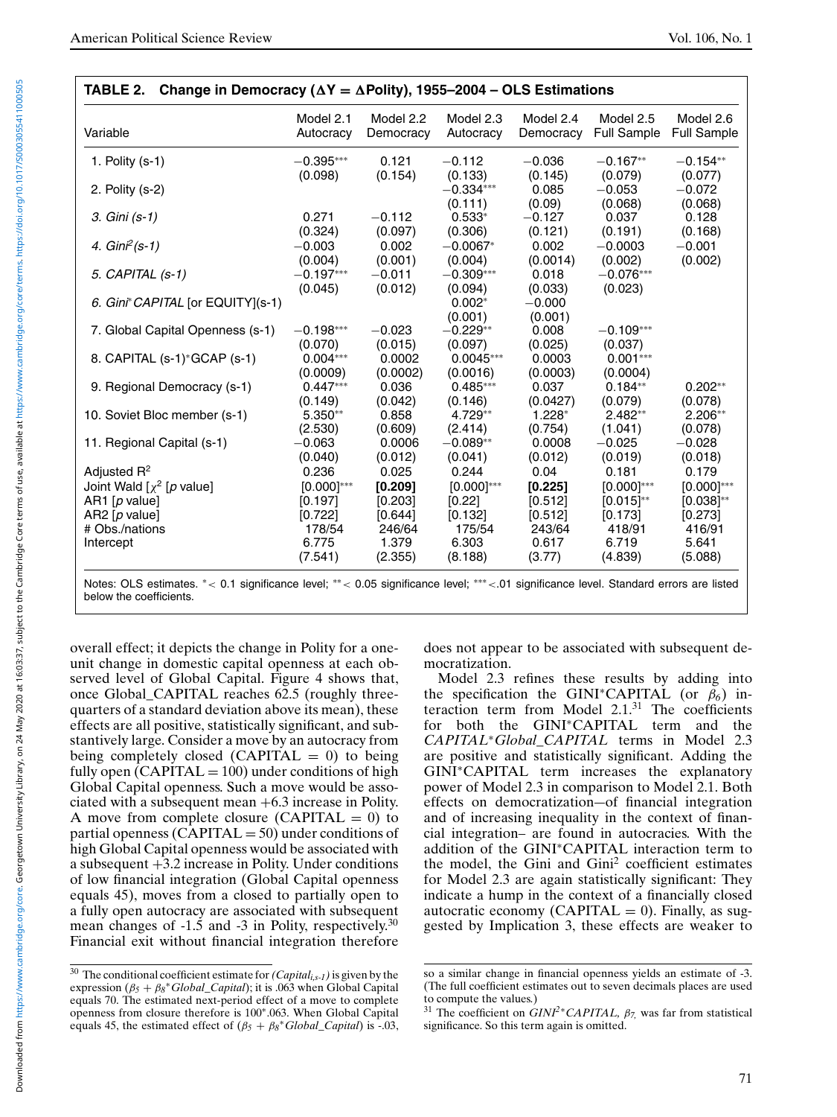| Variable                          | Model 2.1<br>Autocracy | Model 2.2<br>Democracy | Model 2.3<br>Autocracy | Model 2.4<br>Democracy | Model 2.5<br><b>Full Sample</b> | Model 2.6<br><b>Full Sample</b> |
|-----------------------------------|------------------------|------------------------|------------------------|------------------------|---------------------------------|---------------------------------|
| 1. Polity $(s-1)$                 | $-0.395***$            | 0.121                  | $-0.112$               | $-0.036$               | $-0.167**$                      | $-0.154**$                      |
|                                   | (0.098)                | (0.154)                | (0.133)                | (0.145)                | (0.079)                         | (0.077)                         |
| 2. Polity (s-2)                   |                        |                        | $-0.334***$            | 0.085                  | $-0.053$                        | $-0.072$                        |
|                                   |                        |                        | (0.111)                | (0.09)                 | (0.068)                         | (0.068)                         |
| 3. Gini (s-1)                     | 0.271                  | $-0.112$               | $0.533*$               | $-0.127$               | 0.037                           | 0.128                           |
|                                   | (0.324)                | (0.097)                | (0.306)                | (0.121)                | (0.191)                         | (0.168)                         |
| 4. $Gin^2(s-1)$                   | $-0.003$               | 0.002                  | $-0.0067*$             | 0.002                  | $-0.0003$                       | $-0.001$                        |
|                                   | (0.004)                | (0.001)                | (0.004)                | (0.0014)               | (0.002)                         | (0.002)                         |
| 5. CAPITAL (s-1)                  | $-0.197***$            | $-0.011$               | $-0.309***$            | 0.018                  | $-0.076***$                     |                                 |
|                                   | (0.045)                | (0.012)                | (0.094)                | (0.033)                | (0.023)                         |                                 |
| 6. Gini* CAPITAL [or EQUITY](s-1) |                        |                        | $0.002*$               | $-0.000$               |                                 |                                 |
|                                   |                        |                        | (0.001)                | (0.001)                |                                 |                                 |
| 7. Global Capital Openness (s-1)  | $-0.198***$            | $-0.023$               | $-0.229**$             | 0.008                  | $-0.109***$                     |                                 |
|                                   | (0.070)                | (0.015)                | (0.097)                | (0.025)                | (0.037)                         |                                 |
| 8. CAPITAL (s-1)*GCAP (s-1)       | $0.004***$             | 0.0002                 | $0.0045***$            | 0.0003                 | $0.001***$                      |                                 |
|                                   | (0.0009)               | (0.0002)               | (0.0016)               | (0.0003)               | (0.0004)                        |                                 |
| 9. Regional Democracy (s-1)       | $0.447***$             | 0.036                  | $0.485***$             | 0.037                  | $0.184**$                       | $0.202**$                       |
|                                   | (0.149)                | (0.042)                | (0.146)                | (0.0427)               | (0.079)                         | (0.078)                         |
| 10. Soviet Bloc member (s-1)      | $5.350**$              | 0.858                  | $4.729**$              | $1.228*$               | $2.482**$                       | $2.206**$                       |
|                                   | (2.530)                | (0.609)                | (2.414)                | (0.754)                | (1.041)                         | (0.078)                         |
| 11. Regional Capital (s-1)        | $-0.063$               | 0.0006                 | $-0.089**$             | 0.0008                 | $-0.025$                        | $-0.028$                        |
|                                   | (0.040)                | (0.012)                | (0.041)                | (0.012)                | (0.019)                         | (0.018)                         |
| Adjusted $R^2$                    | 0.236                  | 0.025                  | 0.244                  | 0.04                   | 0.181                           | 0.179                           |
| Joint Wald $[\chi^2]$ [p value]   | $[0.000]^{***}$        | [0.209]                | $[0.000]^{***}$        | [0.225]                | $[0.000]^{***}$                 | $[0.000]^{***}$                 |
| AR1 $[p$ value]                   | [0.197]                | [0.203]                | [0.22]                 | [0.512]                | $[0.015]^{**}$                  | $[0.038]^{**}$                  |
| AR2 $[p \text{ value}]$           | [0.722]                | [0.644]                | [0.132]                | [0.512]                | [0.173]                         | [0.273]                         |
| # Obs./nations                    | 178/54                 | 246/64                 | 175/54                 | 243/64                 | 418/91                          | 416/91                          |
| Intercept                         | 6.775                  | 1.379                  | 6.303                  | 0.617                  | 6.719                           | 5.641                           |
|                                   | (7.541)                | (2.355)                | (8.188)                | (3.77)                 | (4.839)                         | (5.088)                         |

Notes: OLS estimates. ∗< 0.1 significance level; ∗∗< 0.05 significance level; ∗∗∗<.01 significance level. Standard errors are listed below the coefficients.

overall effect; it depicts the change in Polity for a oneunit change in domestic capital openness at each observed level of Global Capital. Figure 4 shows that, once Global\_CAPITAL reaches 62.5 (roughly threequarters of a standard deviation above its mean), these effects are all positive, statistically significant, and substantively large. Consider a move by an autocracy from being completely closed (CAPITAL  $= 0$ ) to being fully open  $(CAPITAL = 100)$  under conditions of high Global Capital openness. Such a move would be associated with a subsequent mean  $+6.3$  increase in Polity. A move from complete closure (CAPITAL  $= 0$ ) to partial openness (CAPITAL  $=$  50) under conditions of high Global Capital openness would be associated with a subsequent +3.2 increase in Polity. Under conditions of low financial integration (Global Capital openness equals 45), moves from a closed to partially open to a fully open autocracy are associated with subsequent mean changes of  $-1.5$  and  $-3$  in Polity, respectively.<sup>30</sup> Financial exit without financial integration therefore

does not appear to be associated with subsequent democratization.

Model 2.3 refines these results by adding into the specification the GINI∗CAPITAL (or β*6*) interaction term from Model  $2.1<sup>31</sup>$  The coefficients for both the GINI∗CAPITAL term and the *CAPITAL*∗*Global\_CAPITAL* terms in Model 2.3 are positive and statistically significant. Adding the GINI∗CAPITAL term increases the explanatory power of Model 2.3 in comparison to Model 2.1. Both effects on democratization—of financial integration and of increasing inequality in the context of financial integration– are found in autocracies. With the addition of the GINI∗CAPITAL interaction term to the model, the Gini and  $Gini<sup>2</sup>$  coefficient estimates for Model 2.3 are again statistically significant: They indicate a hump in the context of a financially closed autocratic economy (CAPITAL  $= 0$ ). Finally, as suggested by Implication 3, these effects are weaker to

<sup>&</sup>lt;sup>30</sup> The conditional coefficient estimate for  $(Capital_{i,s-1})$  is given by the expression  $(\beta_5 + \beta_8)$ <sup>\*</sup>*Global\_Capital*); it is .063 when Global Capital equals 70. The estimated next-period effect of a move to complete openness from closure therefore is 100∗.063. When Global Capital equals 45, the estimated effect of  $(\beta_5 + \beta_8 * Global\_Capital)$  is -.03,

so a similar change in financial openness yields an estimate of -3. (The full coefficient estimates out to seven decimals places are used to compute the values.)

<sup>31</sup> The coefficient on *GINI2*∗*CAPITAL,* β*7,* was far from statistical significance. So this term again is omitted.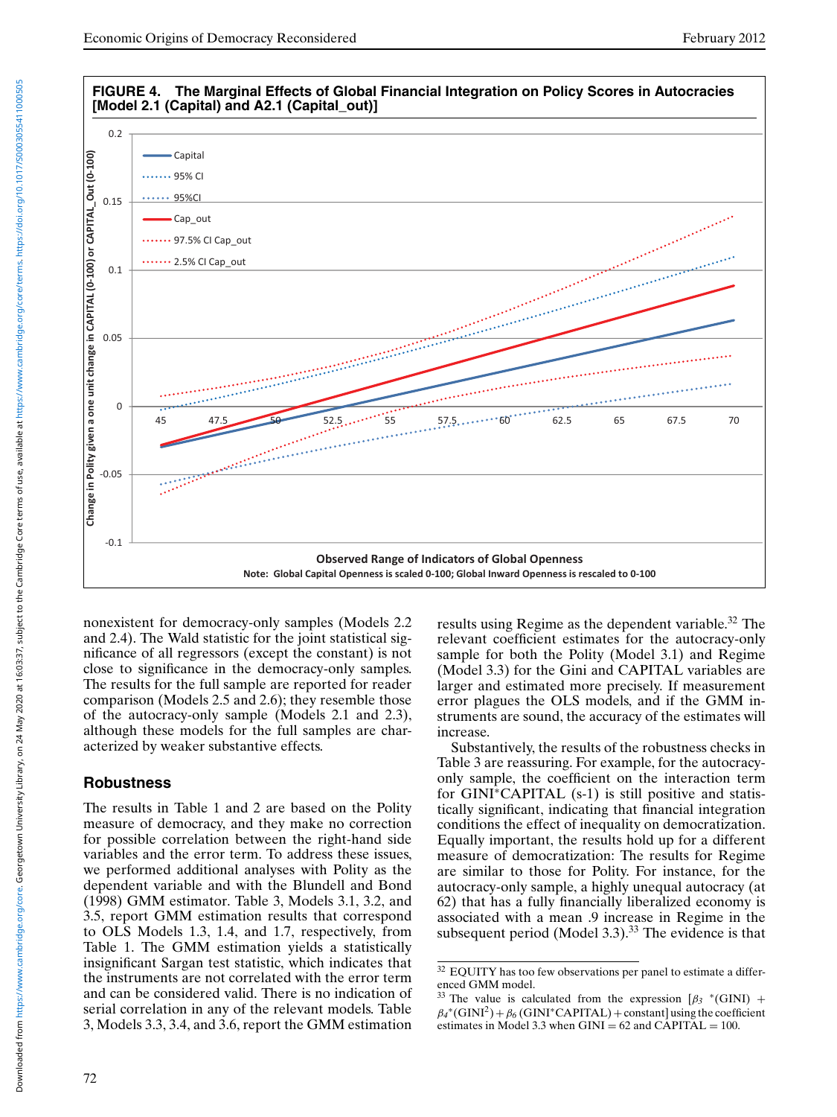

nonexistent for democracy-only samples (Models 2.2 and 2.4). The Wald statistic for the joint statistical significance of all regressors (except the constant) is not close to significance in the democracy-only samples. The results for the full sample are reported for reader comparison (Models 2.5 and 2.6); they resemble those of the autocracy-only sample (Models 2.1 and 2.3), although these models for the full samples are characterized by weaker substantive effects.

# **Robustness**

The results in Table 1 and 2 are based on the Polity measure of democracy, and they make no correction for possible correlation between the right-hand side variables and the error term. To address these issues, we performed additional analyses with Polity as the dependent variable and with the Blundell and Bond (1998) GMM estimator. Table 3, Models 3.1, 3.2, and 3.5, report GMM estimation results that correspond to OLS Models 1.3, 1.4, and 1.7, respectively, from Table 1. The GMM estimation yields a statistically insignificant Sargan test statistic, which indicates that the instruments are not correlated with the error term and can be considered valid. There is no indication of serial correlation in any of the relevant models. Table 3, Models 3.3, 3.4, and 3.6, report the GMM estimation results using Regime as the dependent variable.<sup>32</sup> The relevant coefficient estimates for the autocracy-only sample for both the Polity (Model 3.1) and Regime (Model 3.3) for the Gini and CAPITAL variables are larger and estimated more precisely. If measurement error plagues the OLS models, and if the GMM instruments are sound, the accuracy of the estimates will increase.

Substantively, the results of the robustness checks in Table 3 are reassuring. For example, for the autocracyonly sample, the coefficient on the interaction term for GINI∗CAPITAL (s-1) is still positive and statistically significant, indicating that financial integration conditions the effect of inequality on democratization. Equally important, the results hold up for a different measure of democratization: The results for Regime are similar to those for Polity. For instance, for the autocracy-only sample, a highly unequal autocracy (at 62) that has a fully financially liberalized economy is associated with a mean .9 increase in Regime in the subsequent period (Model 3.3). $33$  The evidence is that

<sup>32</sup> EQUITY has too few observations per panel to estimate a differenced GMM model.

The value is calculated from the expression  $\left[\beta_3 * (GINI) + \right]$  $\beta_4^*(\text{GINI}^2)+\beta_6(\text{GINI}^*\text{CAPITAL})+\text{constant}$  using the coefficient estimates in Model 3.3 when  $GINI = 62$  and  $CAPITAL = 100$ .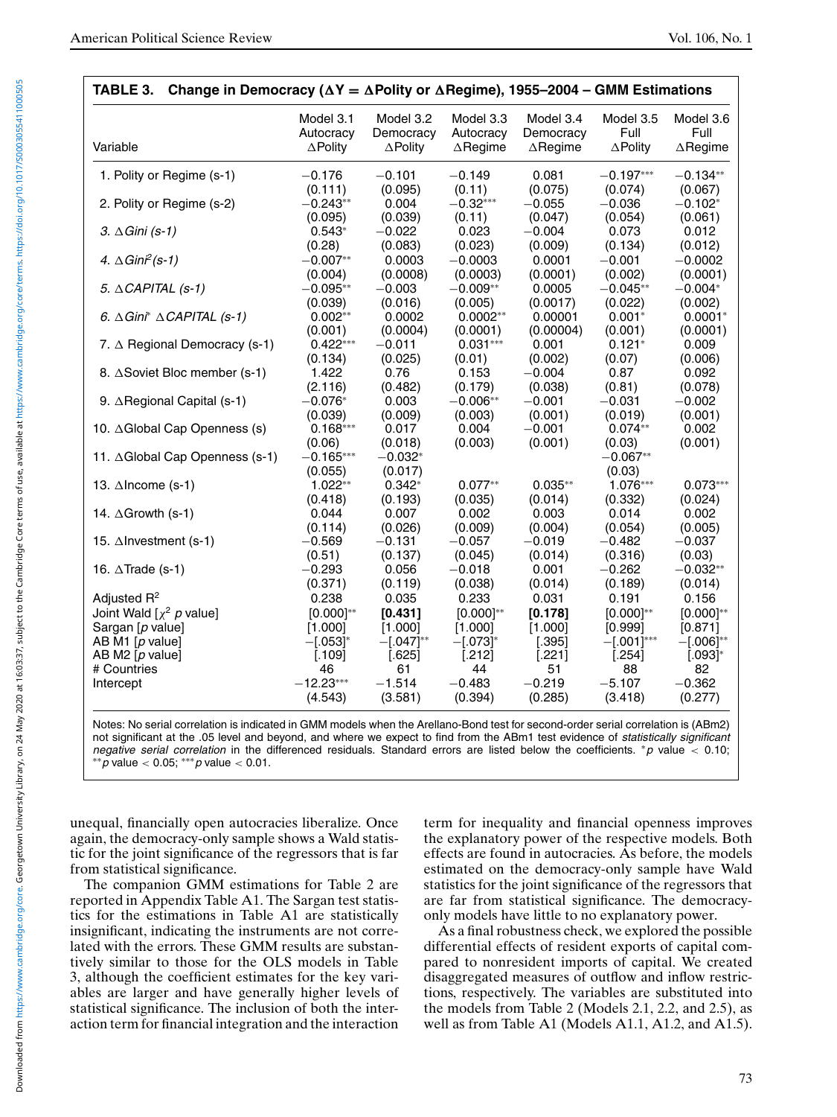| Variable                                       | Model 3.1<br>Autocracy<br>$\triangle$ Polity | Model 3.2<br>Democracy<br>$\triangle$ Polity | Model 3.3<br>Autocracy<br>$\triangle$ Regime | Model 3.4<br>Democracy<br>$\triangle$ Regime | Model 3.5<br>Full<br>$\triangle$ Polity | Model 3.6<br>Full<br>$\triangle$ Regime |
|------------------------------------------------|----------------------------------------------|----------------------------------------------|----------------------------------------------|----------------------------------------------|-----------------------------------------|-----------------------------------------|
|                                                |                                              |                                              |                                              |                                              |                                         |                                         |
| 1. Polity or Regime (s-1)                      | $-0.176$                                     | $-0.101$                                     | $-0.149$                                     | 0.081                                        | $-0.197***$                             | $-0.134**$                              |
| 2. Polity or Regime (s-2)                      | (0.111)<br>$-0.243**$                        | (0.095)<br>0.004                             | (0.11)<br>$-0.32***$                         | (0.075)<br>$-0.055$                          | (0.074)<br>$-0.036$                     | (0.067)<br>$-0.102*$                    |
| 3. $\triangle$ Gini (s-1)                      | (0.095)<br>$0.543*$                          | (0.039)<br>$-0.022$                          | (0.11)<br>0.023                              | (0.047)<br>$-0.004$                          | (0.054)<br>0.073                        | (0.061)<br>0.012                        |
| 4. $\triangle$ Gini <sup>2</sup> (s-1)         | (0.28)<br>$-0.007**$                         | (0.083)<br>0.0003                            | (0.023)<br>$-0.0003$                         | (0.009)<br>0.0001                            | (0.134)<br>$-0.001$                     | (0.012)<br>$-0.0002$                    |
|                                                | (0.004)<br>$-0.095**$                        | (0.0008)                                     | (0.0003)<br>$-0.009**$                       | (0.0001)<br>0.0005                           | (0.002)<br>$-0.045**$                   | (0.0001)<br>$-0.004*$                   |
| 5. $\triangle$ CAPITAL (s-1)                   | (0.039)                                      | $-0.003$<br>(0.016)                          | (0.005)                                      | (0.0017)                                     | (0.022)                                 | (0.002)                                 |
| 6. $\triangle$ Gini* $\triangle$ CAPITAL (s-1) | $0.002**$<br>(0.001)                         | 0.0002<br>(0.0004)                           | $0.0002**$<br>(0.0001)                       | 0.00001<br>(0.00004)                         | $0.001*$<br>(0.001)                     | $0.0001*$<br>(0.0001)                   |
| 7. ∆ Regional Democracy (s-1)                  | $0.422***$<br>(0.134)                        | $-0.011$<br>(0.025)                          | $0.031***$<br>(0.01)                         | 0.001<br>(0.002)                             | $0.121*$<br>(0.07)                      | 0.009<br>(0.006)                        |
| 8. ∆Soviet Bloc member (s-1)                   | 1.422                                        | 0.76                                         | 0.153                                        | $-0.004$                                     | 0.87                                    | 0.092                                   |
| 9. ∆Regional Capital (s-1)                     | (2.116)<br>$-0.076*$                         | (0.482)<br>0.003                             | (0.179)<br>$-0.006**$                        | (0.038)<br>$-0.001$                          | (0.81)<br>$-0.031$                      | (0.078)<br>$-0.002$                     |
| 10. ∆Global Cap Openness (s)                   | (0.039)<br>$0.168***$                        | (0.009)<br>0.017                             | (0.003)<br>0.004                             | (0.001)<br>$-0.001$                          | (0.019)<br>$0.074**$                    | (0.001)<br>0.002                        |
| 11. ∆Global Cap Openness (s-1)                 | (0.06)<br>$-0.165***$                        | (0.018)<br>$-0.032*$                         | (0.003)                                      | (0.001)                                      | (0.03)<br>$-0.067**$                    | (0.001)                                 |
|                                                | (0.055)<br>$1.022**$                         | (0.017)<br>$0.342*$                          | $0.077**$                                    | $0.035**$                                    | (0.03)<br>1.076***                      | $0.073***$                              |
| 13. ∆Income (s-1)                              | (0.418)                                      | (0.193)                                      | (0.035)                                      | (0.014)                                      | (0.332)                                 | (0.024)                                 |
| 14. ∆Growth (s-1)                              | 0.044<br>(0.114)                             | 0.007<br>(0.026)                             | 0.002<br>(0.009)                             | 0.003<br>(0.004)                             | 0.014<br>(0.054)                        | 0.002<br>(0.005)                        |
| 15. ∆Investment (s-1)                          | $-0.569$<br>(0.51)                           | $-0.131$<br>(0.137)                          | $-0.057$<br>(0.045)                          | $-0.019$<br>(0.014)                          | $-0.482$<br>(0.316)                     | $-0.037$<br>(0.03)                      |
| 16. $\triangle$ Trade (s-1)                    | $-0.293$                                     | 0.056                                        | $-0.018$                                     | 0.001                                        | $-0.262$                                | $-0.032**$                              |
| Adjusted $R^2$                                 | (0.371)<br>0.238                             | (0.119)<br>0.035                             | (0.038)<br>0.233                             | (0.014)<br>0.031                             | (0.189)<br>0.191                        | (0.014)<br>0.156                        |
| Joint Wald $[\chi^2 \, p \,$ value]            | $[0.000]^{**}$                               | [0.431]                                      | $[0.000]^{**}$                               | [0.178]                                      | $[0.000]^{**}$                          | $[0.000]^{**}$                          |
| Sargan [p value]                               | [1.000]                                      | [1.000]                                      | [1.000]                                      | [1.000]                                      | [0.999]                                 | [0.871]                                 |
| AB M1 $[p$ value]                              | $-[.053]^{*}$                                | $-[.047]^{**}$                               | $-[.073]^{*}$                                | [.395]                                       | $-[.001]^{***}$                         | $-[.006]^{**}$                          |
| AB M2 [p value]                                | [.109]                                       | [.625]                                       | [.212]                                       | [.221]                                       | [.254]                                  | $[.093]$ *                              |
| # Countries                                    | 46                                           | 61                                           | 44                                           | 51                                           | 88                                      | 82                                      |
| Intercept                                      | $-12.23***$<br>(4.543)                       | $-1.514$<br>(3.581)                          | $-0.483$<br>(0.394)                          | $-0.219$<br>(0.285)                          | $-5.107$<br>(3.418)                     | $-0.362$<br>(0.277)                     |

not significant at the .05 level and beyond, and where we expect to find from the ABm1 test evidence of statistically significant negative serial correlation in the differenced residuals. Standard errors are listed below the coefficients. \*p value < 0.10;  $*$ *∗* $p$  value < 0.05;  $**$ *p* value < 0.01.

unequal, financially open autocracies liberalize. Once again, the democracy-only sample shows a Wald statistic for the joint significance of the regressors that is far from statistical significance.

The companion GMM estimations for Table 2 are reported in Appendix Table A1. The Sargan test statistics for the estimations in Table A1 are statistically insignificant, indicating the instruments are not correlated with the errors. These GMM results are substantively similar to those for the OLS models in Table 3, although the coefficient estimates for the key variables are larger and have generally higher levels of statistical significance. The inclusion of both the interaction term for financial integration and the interaction

term for inequality and financial openness improves the explanatory power of the respective models. Both effects are found in autocracies. As before, the models estimated on the democracy-only sample have Wald statistics for the joint significance of the regressors that are far from statistical significance. The democracyonly models have little to no explanatory power.

As a final robustness check, we explored the possible differential effects of resident exports of capital compared to nonresident imports of capital. We created disaggregated measures of outflow and inflow restrictions, respectively. The variables are substituted into the models from Table 2 (Models 2.1, 2.2, and 2.5), as well as from Table A1 (Models A1.1, A1.2, and A1.5).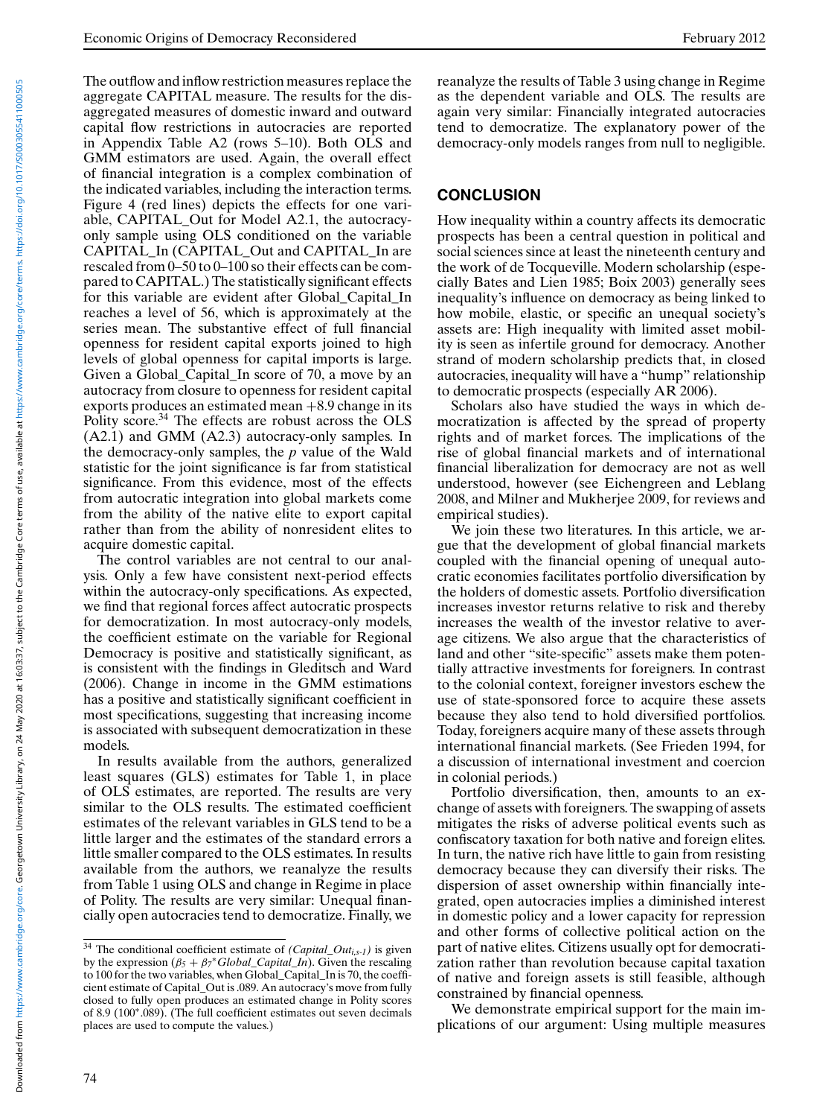The outflow and inflow restriction measures replace the aggregate CAPITAL measure. The results for the disaggregated measures of domestic inward and outward capital flow restrictions in autocracies are reported in Appendix Table A2 (rows 5–10). Both OLS and GMM estimators are used. Again, the overall effect of financial integration is a complex combination of the indicated variables, including the interaction terms. Figure 4 (red lines) depicts the effects for one variable, CAPITAL\_Out for Model A2.1, the autocracyonly sample using OLS conditioned on the variable CAPITAL\_In (CAPITAL\_Out and CAPITAL\_In are rescaled from 0–50 to 0–100 so their effects can be compared to CAPITAL.) The statistically significant effects for this variable are evident after Global\_Capital\_In reaches a level of 56, which is approximately at the series mean. The substantive effect of full financial openness for resident capital exports joined to high levels of global openness for capital imports is large. Given a Global\_Capital\_In score of 70, a move by an autocracy from closure to openness for resident capital exports produces an estimated mean  $+8.9$  change in its Polity score.34 The effects are robust across the OLS (A2.1) and GMM (A2.3) autocracy-only samples. In the democracy-only samples, the *p* value of the Wald statistic for the joint significance is far from statistical significance. From this evidence, most of the effects from autocratic integration into global markets come from the ability of the native elite to export capital rather than from the ability of nonresident elites to acquire domestic capital.

The control variables are not central to our analysis. Only a few have consistent next-period effects within the autocracy-only specifications. As expected, we find that regional forces affect autocratic prospects for democratization. In most autocracy-only models, the coefficient estimate on the variable for Regional Democracy is positive and statistically significant, as is consistent with the findings in Gleditsch and Ward (2006). Change in income in the GMM estimations has a positive and statistically significant coefficient in most specifications, suggesting that increasing income is associated with subsequent democratization in these models.

In results available from the authors, generalized least squares (GLS) estimates for Table 1, in place of OLS estimates, are reported. The results are very similar to the OLS results. The estimated coefficient estimates of the relevant variables in GLS tend to be a little larger and the estimates of the standard errors a little smaller compared to the OLS estimates. In results available from the authors, we reanalyze the results from Table 1 using OLS and change in Regime in place of Polity. The results are very similar: Unequal financially open autocracies tend to democratize. Finally, we reanalyze the results of Table 3 using change in Regime as the dependent variable and OLS. The results are again very similar: Financially integrated autocracies tend to democratize. The explanatory power of the democracy-only models ranges from null to negligible.

#### **CONCLUSION**

How inequality within a country affects its democratic prospects has been a central question in political and social sciences since at least the nineteenth century and the work of de Tocqueville. Modern scholarship (especially Bates and Lien 1985; Boix 2003) generally sees inequality's influence on democracy as being linked to how mobile, elastic, or specific an unequal society's assets are: High inequality with limited asset mobility is seen as infertile ground for democracy. Another strand of modern scholarship predicts that, in closed autocracies, inequality will have a "hump" relationship to democratic prospects (especially AR 2006).

Scholars also have studied the ways in which democratization is affected by the spread of property rights and of market forces. The implications of the rise of global financial markets and of international financial liberalization for democracy are not as well understood, however (see Eichengreen and Leblang 2008, and Milner and Mukherjee 2009, for reviews and empirical studies).

We join these two literatures. In this article, we argue that the development of global financial markets coupled with the financial opening of unequal autocratic economies facilitates portfolio diversification by the holders of domestic assets. Portfolio diversification increases investor returns relative to risk and thereby increases the wealth of the investor relative to average citizens. We also argue that the characteristics of land and other "site-specific" assets make them potentially attractive investments for foreigners. In contrast to the colonial context, foreigner investors eschew the use of state-sponsored force to acquire these assets because they also tend to hold diversified portfolios. Today, foreigners acquire many of these assets through international financial markets. (See Frieden 1994, for a discussion of international investment and coercion in colonial periods.)

Portfolio diversification, then, amounts to an exchange of assets with foreigners. The swapping of assets mitigates the risks of adverse political events such as confiscatory taxation for both native and foreign elites. In turn, the native rich have little to gain from resisting democracy because they can diversify their risks. The dispersion of asset ownership within financially integrated, open autocracies implies a diminished interest in domestic policy and a lower capacity for repression and other forms of collective political action on the part of native elites. Citizens usually opt for democratization rather than revolution because capital taxation of native and foreign assets is still feasible, although constrained by financial openness.

We demonstrate empirical support for the main implications of our argument: Using multiple measures

<sup>34</sup> The conditional coefficient estimate of *(Capital\_Outi,s-1)* is given by the expression  $(β<sub>5</sub> + β<sub>7</sub><sup>*</sup>Global_Capital<sub>-1</sub>ln)$ . Given the rescaling to 100 for the two variables, when Global\_Capital\_In is 70, the coefficient estimate of Capital\_Out is .089. An autocracy's move from fully closed to fully open produces an estimated change in Polity scores of 8.9 (100∗.089). (The full coefficient estimates out seven decimals places are used to compute the values.)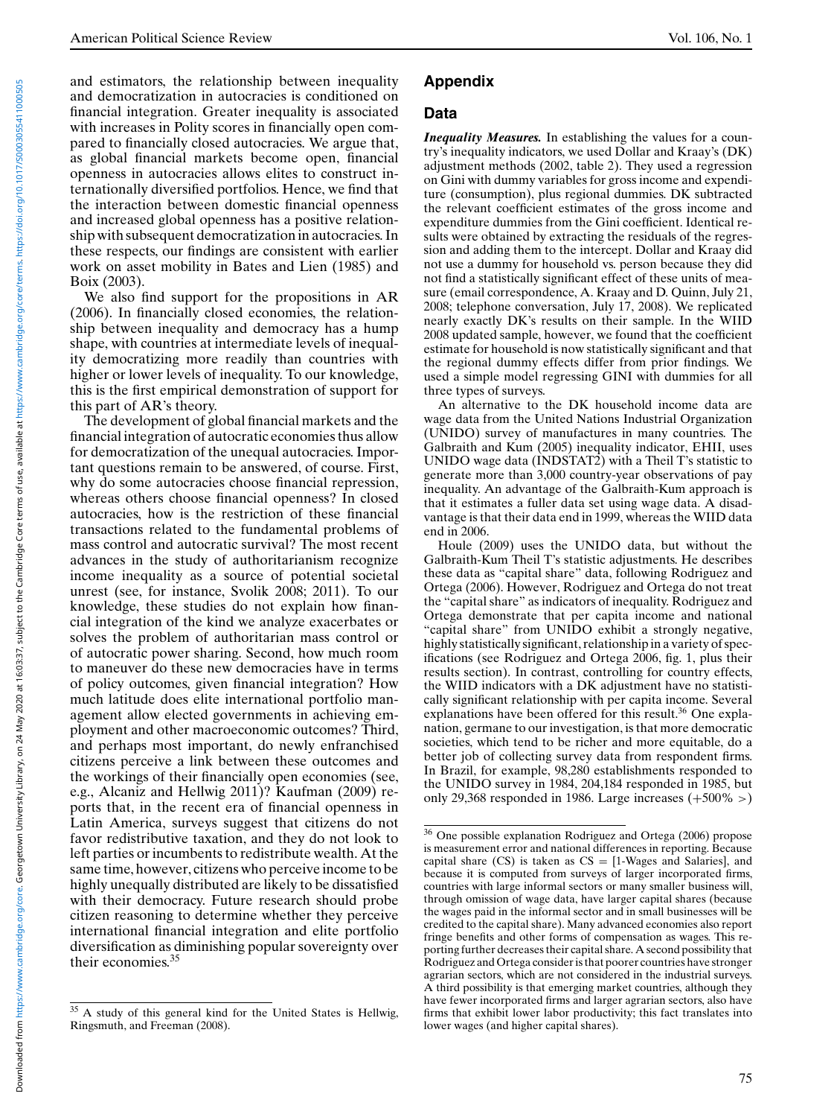and estimators, the relationship between inequality and democratization in autocracies is conditioned on financial integration. Greater inequality is associated with increases in Polity scores in financially open compared to financially closed autocracies. We argue that, as global financial markets become open, financial openness in autocracies allows elites to construct internationally diversified portfolios. Hence, we find that the interaction between domestic financial openness and increased global openness has a positive relationship with subsequent democratization in autocracies. In these respects, our findings are consistent with earlier work on asset mobility in Bates and Lien (1985) and Boix (2003).

We also find support for the propositions in AR (2006). In financially closed economies, the relationship between inequality and democracy has a hump shape, with countries at intermediate levels of inequality democratizing more readily than countries with higher or lower levels of inequality. To our knowledge, this is the first empirical demonstration of support for this part of AR's theory.

The development of global financial markets and the financial integration of autocratic economies thus allow for democratization of the unequal autocracies. Important questions remain to be answered, of course. First, why do some autocracies choose financial repression, whereas others choose financial openness? In closed autocracies, how is the restriction of these financial transactions related to the fundamental problems of mass control and autocratic survival? The most recent advances in the study of authoritarianism recognize income inequality as a source of potential societal unrest (see, for instance, Svolik 2008; 2011). To our knowledge, these studies do not explain how financial integration of the kind we analyze exacerbates or solves the problem of authoritarian mass control or of autocratic power sharing. Second, how much room to maneuver do these new democracies have in terms of policy outcomes, given financial integration? How much latitude does elite international portfolio management allow elected governments in achieving employment and other macroeconomic outcomes? Third, and perhaps most important, do newly enfranchised citizens perceive a link between these outcomes and the workings of their financially open economies (see, e.g., Alcaniz and Hellwig 2011)? Kaufman (2009) reports that, in the recent era of financial openness in Latin America, surveys suggest that citizens do not favor redistributive taxation, and they do not look to left parties or incumbents to redistribute wealth. At the same time, however, citizens who perceive income to be highly unequally distributed are likely to be dissatisfied with their democracy. Future research should probe citizen reasoning to determine whether they perceive international financial integration and elite portfolio diversification as diminishing popular sovereignty over their economies.35

# **Appendix**

## **Data**

*Inequality Measures.* In establishing the values for a country's inequality indicators, we used Dollar and Kraay's (DK) adjustment methods (2002, table 2). They used a regression on Gini with dummy variables for gross income and expenditure (consumption), plus regional dummies. DK subtracted the relevant coefficient estimates of the gross income and expenditure dummies from the Gini coefficient. Identical results were obtained by extracting the residuals of the regression and adding them to the intercept. Dollar and Kraay did not use a dummy for household vs. person because they did not find a statistically significant effect of these units of measure (email correspondence, A. Kraay and D. Quinn, July 21, 2008; telephone conversation, July 17, 2008). We replicated nearly exactly DK's results on their sample. In the WIID 2008 updated sample, however, we found that the coefficient estimate for household is now statistically significant and that the regional dummy effects differ from prior findings. We used a simple model regressing GINI with dummies for all three types of surveys.

An alternative to the DK household income data are wage data from the United Nations Industrial Organization (UNIDO) survey of manufactures in many countries. The Galbraith and Kum (2005) inequality indicator, EHII, uses UNIDO wage data (INDSTAT2) with a Theil T's statistic to generate more than 3,000 country-year observations of pay inequality. An advantage of the Galbraith-Kum approach is that it estimates a fuller data set using wage data. A disadvantage is that their data end in 1999, whereas the WIID data end in 2006.

Houle (2009) uses the UNIDO data, but without the Galbraith-Kum Theil T's statistic adjustments. He describes these data as "capital share" data, following Rodriguez and Ortega (2006). However, Rodriguez and Ortega do not treat the "capital share" as indicators of inequality. Rodriguez and Ortega demonstrate that per capita income and national "capital share" from UNIDO exhibit a strongly negative, highly statistically significant, relationship in a variety of specifications (see Rodriguez and Ortega 2006, fig. 1, plus their results section). In contrast, controlling for country effects, the WIID indicators with a DK adjustment have no statistically significant relationship with per capita income. Several explanations have been offered for this result.<sup>36</sup> One explanation, germane to our investigation, is that more democratic societies, which tend to be richer and more equitable, do a better job of collecting survey data from respondent firms. In Brazil, for example, 98,280 establishments responded to the UNIDO survey in 1984, 204,184 responded in 1985, but only 29,368 responded in 1986. Large increases  $(+500\%>)$ 

<sup>&</sup>lt;sup>35</sup> A study of this general kind for the United States is Hellwig, Ringsmuth, and Freeman (2008).

<sup>36</sup> One possible explanation Rodriguez and Ortega (2006) propose is measurement error and national differences in reporting. Because capital share  $(CS)$  is taken as  $CS = [1-Wages$  and Salaries], and because it is computed from surveys of larger incorporated firms, countries with large informal sectors or many smaller business will, through omission of wage data, have larger capital shares (because the wages paid in the informal sector and in small businesses will be credited to the capital share). Many advanced economies also report fringe benefits and other forms of compensation as wages. This reporting further decreases their capital share. A second possibility that Rodriguez and Ortega consider is that poorer countries have stronger agrarian sectors, which are not considered in the industrial surveys. A third possibility is that emerging market countries, although they have fewer incorporated firms and larger agrarian sectors, also have firms that exhibit lower labor productivity; this fact translates into lower wages (and higher capital shares).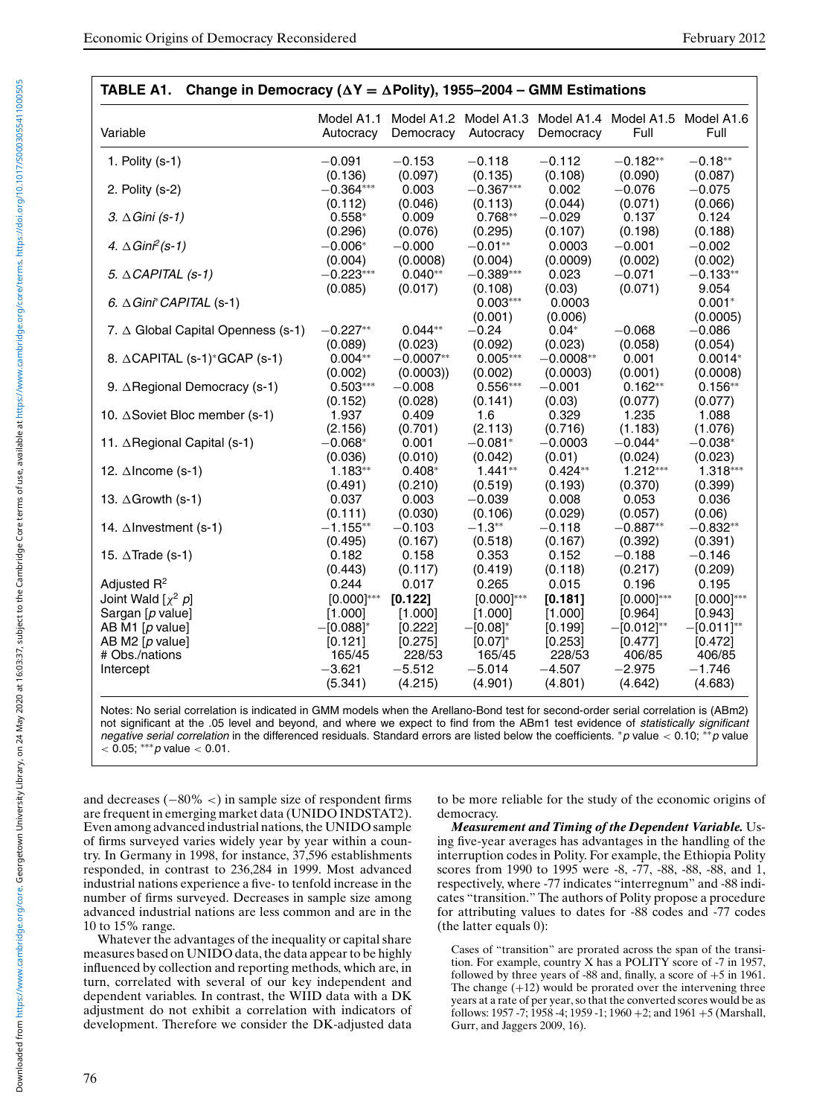| Variable                               | Model A1.1<br>Autocracy | Democracy   | Autocracy       | Democracy   | Model A1.2 Model A1.3 Model A1.4 Model A1.5 Model A1.6<br>Full | Full            |
|----------------------------------------|-------------------------|-------------|-----------------|-------------|----------------------------------------------------------------|-----------------|
| 1. Polity $(s-1)$                      | $-0.091$                | $-0.153$    | $-0.118$        | $-0.112$    | $-0.182**$                                                     | $-0.18**$       |
|                                        | (0.136)                 | (0.097)     | (0.135)         | (0.108)     | (0.090)                                                        | (0.087)         |
| 2. Polity (s-2)                        | $-0.364***$             | 0.003       | $-0.367***$     | 0.002       | $-0.076$                                                       | $-0.075$        |
|                                        | (0.112)                 | (0.046)     | (0.113)         | (0.044)     | (0.071)                                                        | (0.066)         |
| 3. $\triangle$ Gini (s-1)              | $0.558*$                | 0.009       | $0.768**$       | $-0.029$    | 0.137                                                          | 0.124           |
|                                        | (0.296)                 | (0.076)     | (0.295)         | (0.107)     | (0.198)                                                        | (0.188)         |
| 4. $\triangle$ Gini <sup>2</sup> (s-1) | $-0.006*$               | $-0.000$    | $-0.01**$       | 0.0003      | $-0.001$                                                       | $-0.002$        |
|                                        | (0.004)                 | (0.0008)    | (0.004)         | (0.0009)    | (0.002)                                                        | (0.002)         |
| 5. $\triangle$ CAPITAL (s-1)           | $-0.223***$             | $0.040**$   | $-0.389***$     | 0.023       | $-0.071$                                                       | $-0.133**$      |
|                                        | (0.085)                 | (0.017)     | (0.108)         | (0.03)      | (0.071)                                                        | 9.054           |
| 6. $\triangle$ Gini* CAPITAL (s-1)     |                         |             | $0.003***$      | 0.0003      |                                                                | $0.001*$        |
|                                        |                         |             | (0.001)         | (0.006)     |                                                                | (0.0005)        |
| 7. ∆ Global Capital Openness (s-1)     | $-0.227**$              | $0.044**$   | $-0.24$         | $0.04*$     | $-0.068$                                                       | $-0.086$        |
|                                        | (0.089)                 | (0.023)     | (0.092)         | (0.023)     | (0.058)                                                        | (0.054)         |
| 8. ∆CAPITAL (s-1)*GCAP (s-1)           | $0.004**$               | $-0.0007**$ | $0.005***$      | $-0.0008**$ | 0.001                                                          | $0.0014*$       |
|                                        | (0.002)                 | (0.0003)    | (0.002)         | (0.0003)    | (0.001)                                                        | (0.0008)        |
| 9. ∆Regional Democracy (s-1)           | $0.503***$              | $-0.008$    | $0.556***$      | $-0.001$    | $0.162**$                                                      | $0.156**$       |
|                                        | (0.152)                 | (0.028)     | (0.141)         | (0.03)      | (0.077)                                                        | (0.077)         |
| 10. ∆Soviet Bloc member (s-1)          | 1.937                   | 0.409       | 1.6             | 0.329       | 1.235                                                          | 1.088           |
|                                        | (2.156)                 | (0.701)     | (2.113)         | (0.716)     | (1.183)                                                        | (1.076)         |
| 11. ∆Regional Capital (s-1)            | $-0.068*$               | 0.001       | $-0.081*$       | $-0.0003$   | $-0.044*$                                                      | $-0.038*$       |
|                                        | (0.036)                 | (0.010)     | (0.042)         | (0.01)      | (0.024)                                                        | (0.023)         |
| 12. $\triangle$ Income (s-1)           | $1.183**$               | $0.408*$    | $1.441**$       | $0.424**$   | $1.212***$                                                     | $1.318***$      |
|                                        | (0.491)                 | (0.210)     | (0.519)         | (0.193)     | (0.370)                                                        | (0.399)         |
| 13. $\triangle$ Growth (s-1)           | 0.037                   | 0.003       | $-0.039$        | 0.008       | 0.053                                                          | 0.036           |
|                                        | (0.111)                 | (0.030)     | (0.106)         | (0.029)     | (0.057)                                                        | (0.06)          |
| 14. ∆Investment (s-1)                  | $-1.155**$              | $-0.103$    | $-1.3**$        | $-0.118$    | $-0.887**$                                                     | $-0.832**$      |
|                                        | (0.495)                 | (0.167)     | (0.518)         | (0.167)     | (0.392)                                                        | (0.391)         |
| 15. $\triangle$ Trade (s-1)            | 0.182                   | 0.158       | 0.353           | 0.152       | $-0.188$                                                       | $-0.146$        |
|                                        | (0.443)                 | (0.117)     | (0.419)         | (0.118)     | (0.217)                                                        | (0.209)         |
| Adjusted $R^2$                         | 0.244                   | 0.017       | 0.265           | 0.015       | 0.196                                                          | 0.195           |
| Joint Wald $[\chi^2 \, p]$             | $[0.000]^{***}$         | [0.122]     | $[0.000]^{***}$ | [0.181]     | $[0.000]^{***}$                                                | $[0.000]^{***}$ |
| Sargan [p value]                       | [1.000]                 | [1.000]     | [1.000]         | [1.000]     | [0.964]                                                        | [0.943]         |
| AB M1 [p value]                        | $-[0.088]^{*}$          | [0.222]     | $-[0.08]^*$     | [0.199]     | $-[0.012]^{**}$                                                | $-[0.011]^{**}$ |
| AB M2 $[p$ value]                      | [0.121]                 | [0.275]     | $[0.07]^{*}$    | [0.253]     | [0.477]                                                        | [0.472]         |
| # Obs./nations                         | 165/45                  | 228/53      | 165/45          | 228/53      | 406/85                                                         | 406/85          |
| Intercept                              | $-3.621$                | $-5.512$    | $-5.014$        | $-4.507$    | $-2.975$                                                       | $-1.746$        |
|                                        | (5.341)                 | (4.215)     | (4.901)         | (4.801)     | (4.642)                                                        | (4.683)         |

**TABLE A1. Change in Democracy (Y = Polity), 1955–2004 – GMM Estimations**

Notes: No serial correlation is indicated in GMM models when the Arellano-Bond test for second-order serial correlation is (ABm2) not significant at the .05 level and beyond, and where we expect to find from the ABm1 test evidence of statistically significant negative serial correlation in the differenced residuals. Standard errors are listed below the coefficients. \*p value < 0.10; \*\*p value  $<$  0.05; \*\*\* p value  $<$  0.01.

and decreases (−80% <) in sample size of respondent firms are frequent in emerging market data (UNIDO INDSTAT2). Even among advanced industrial nations, the UNIDO sample of firms surveyed varies widely year by year within a country. In Germany in 1998, for instance, 37,596 establishments responded, in contrast to 236,284 in 1999. Most advanced industrial nations experience a five- to tenfold increase in the number of firms surveyed. Decreases in sample size among advanced industrial nations are less common and are in the 10 to 15% range.

Whatever the advantages of the inequality or capital share measures based on UNIDO data, the data appear to be highly influenced by collection and reporting methods, which are, in turn, correlated with several of our key independent and dependent variables. In contrast, the WIID data with a DK adjustment do not exhibit a correlation with indicators of development. Therefore we consider the DK-adjusted data to be more reliable for the study of the economic origins of democracy.

*Measurement and Timing of the Dependent Variable.* Using five-year averages has advantages in the handling of the interruption codes in Polity. For example, the Ethiopia Polity scores from 1990 to 1995 were -8, -77, -88, -88, -88, and 1, respectively, where -77 indicates "interregnum" and -88 indicates "transition." The authors of Polity propose a procedure for attributing values to dates for -88 codes and -77 codes (the latter equals 0):

Cases of "transition" are prorated across the span of the transition. For example, country X has a POLITY score of -7 in 1957, followed by three years of -88 and, finally, a score of  $+5$  in 1961. The change  $(+12)$  would be prorated over the intervening three years at a rate of per year, so that the converted scores would be as follows: 1957 -7; 1958 -4; 1959 -1; 1960 +2; and 1961 +5 (Marshall, Gurr, and Jaggers 2009, 16).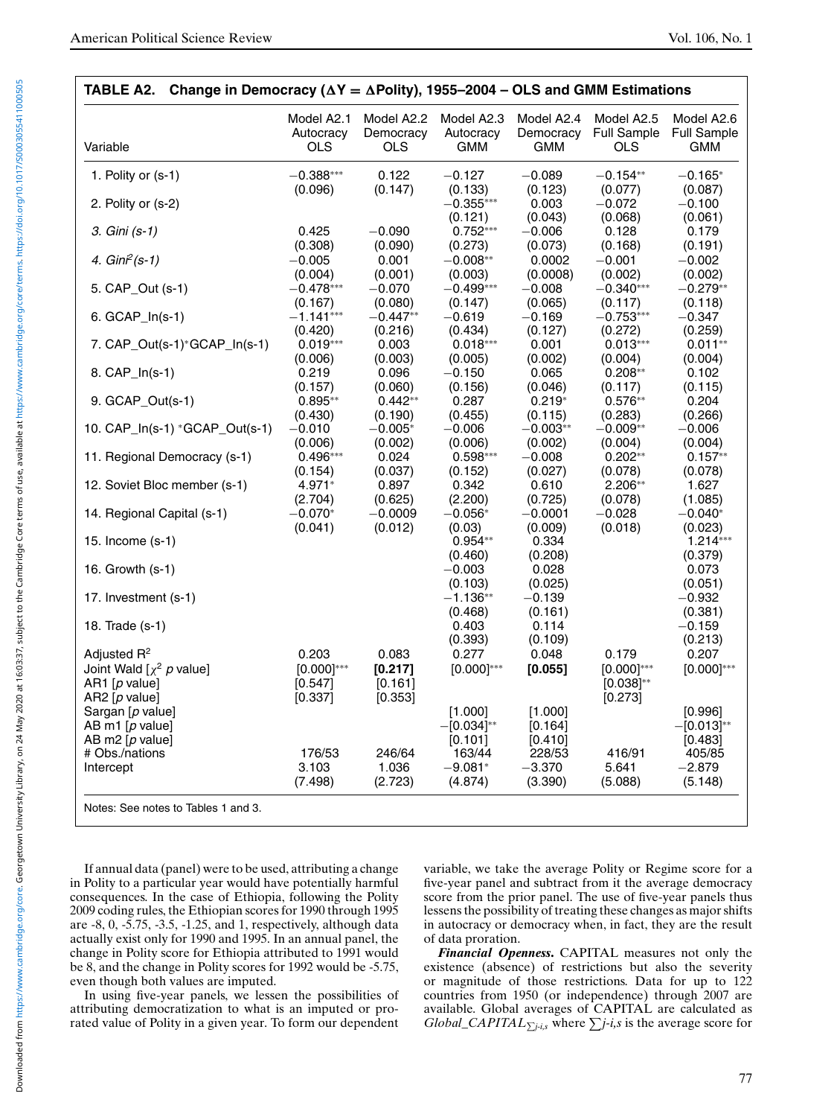| Variable                                                            | Autocracy<br><b>OLS</b>                 | Model A2.2<br>Democracy<br><b>OLS</b> | Model A2.3<br>Autocracy<br><b>GMM</b> | Model A2.4<br>Democracy<br><b>GMM</b> | Model A2.5<br><b>Full Sample</b><br><b>OLS</b> | Model A2.6<br><b>Full Sample</b><br><b>GMM</b> |
|---------------------------------------------------------------------|-----------------------------------------|---------------------------------------|---------------------------------------|---------------------------------------|------------------------------------------------|------------------------------------------------|
| 1. Polity or (s-1)                                                  | $-0.388***$                             | 0.122                                 | $-0.127$                              | $-0.089$                              | $-0.154**$                                     | $-0.165*$                                      |
| 2. Polity or (s-2)                                                  | (0.096)                                 | (0.147)                               | (0.133)<br>$-0.355***$<br>(0.121)     | (0.123)<br>0.003<br>(0.043)           | (0.077)<br>$-0.072$<br>(0.068)                 | (0.087)<br>$-0.100$<br>(0.061)                 |
| 3. Gini (s-1)                                                       | 0.425                                   | $-0.090$                              | $0.752***$                            | $-0.006$                              | 0.128                                          | 0.179                                          |
| 4. $Gin^2(s-1)$                                                     | (0.308)<br>$-0.005$                     | (0.090)<br>0.001                      | (0.273)<br>$-0.008**$                 | (0.073)<br>0.0002                     | (0.168)<br>$-0.001$                            | (0.191)<br>$-0.002$                            |
| 5. CAP_Out (s-1)                                                    | (0.004)<br>$-0.478***$                  | (0.001)<br>$-0.070$                   | (0.003)<br>$-0.499***$                | (0.0008)<br>$-0.008$                  | (0.002)<br>$-0.340***$                         | (0.002)<br>$-0.279**$                          |
| 6. GCAP_In(s-1)                                                     | (0.167)<br>$-1.141***$                  | (0.080)<br>$-0.447**$                 | (0.147)<br>$-0.619$                   | (0.065)<br>$-0.169$                   | (0.117)<br>$-0.753***$                         | (0.118)<br>$-0.347$                            |
| 7. CAP_Out(s-1)*GCAP_In(s-1)                                        | (0.420)<br>$0.019***$                   | (0.216)<br>0.003                      | (0.434)<br>$0.018***$                 | (0.127)<br>0.001                      | (0.272)<br>$0.013***$                          | (0.259)<br>$0.011**$                           |
| 8. CAP_In(s-1)                                                      | (0.006)<br>0.219                        | (0.003)<br>0.096                      | (0.005)<br>$-0.150$                   | (0.002)<br>0.065                      | (0.004)<br>$0.208**$                           | (0.004)<br>0.102                               |
| 9. GCAP_Out(s-1)                                                    | (0.157)<br>$0.895**$                    | (0.060)<br>$0.442**$                  | (0.156)<br>0.287                      | (0.046)<br>$0.219*$                   | (0.117)<br>$0.576**$                           | (0.115)<br>0.204                               |
| 10. CAP_In(s-1) *GCAP_Out(s-1)                                      | (0.430)<br>$-0.010$                     | (0.190)<br>$-0.005*$                  | (0.455)<br>$-0.006$                   | (0.115)<br>$-0.003**$                 | (0.283)<br>$-0.009**$                          | (0.266)<br>$-0.006$                            |
| 11. Regional Democracy (s-1)                                        | (0.006)<br>$0.496***$                   | (0.002)<br>0.024                      | (0.006)<br>$0.598***$                 | (0.002)<br>$-0.008$                   | (0.004)<br>$0.202**$                           | (0.004)<br>$0.157**$                           |
| 12. Soviet Bloc member (s-1)                                        | (0.154)<br>4.971*                       | (0.037)<br>0.897                      | (0.152)<br>0.342                      | (0.027)<br>0.610                      | (0.078)<br>2.206**                             | (0.078)<br>1.627                               |
| 14. Regional Capital (s-1)                                          | (2.704)<br>$-0.070*$                    | (0.625)<br>$-0.0009$                  | (2.200)<br>$-0.056*$                  | (0.725)<br>$-0.0001$                  | (0.078)<br>$-0.028$                            | (1.085)<br>$-0.040*$                           |
| 15. Income (s-1)                                                    | (0.041)                                 | (0.012)                               | (0.03)<br>$0.954**$                   | (0.009)<br>0.334                      | (0.018)                                        | (0.023)<br>$1.214***$                          |
| 16. Growth (s-1)                                                    |                                         |                                       | (0.460)<br>$-0.003$                   | (0.208)<br>0.028                      |                                                | (0.379)<br>0.073                               |
| 17. Investment (s-1)                                                |                                         |                                       | (0.103)<br>$-1.136**$                 | (0.025)<br>$-0.139$                   |                                                | (0.051)<br>$-0.932$                            |
| 18. Trade (s-1)                                                     |                                         |                                       | (0.468)<br>0.403                      | (0.161)<br>0.114                      |                                                | (0.381)<br>$-0.159$                            |
| Adjusted $R^2$                                                      | 0.203                                   | 0.083                                 | (0.393)<br>0.277                      | (0.109)<br>0.048                      | 0.179                                          | (0.213)<br>0.207                               |
| Joint Wald $[\chi^2$ p value]<br>AR1 $[p$ value]<br>AR2 $[p$ value] | $[0.000]^{***}$<br>$[0.547]$<br>[0.337] | [0.217]<br>[0.161]<br>[0.353]         | $[0.000]^{***}$                       | [0.055]                               | $[0.000]^{***}$<br>$[0.038]^{**}$<br>[0.273]   | $[0.000]^{***}$                                |
| Sargan [p value]<br>AB m1 $[p$ value]<br>AB m2 $[p$ value]          |                                         |                                       | [1.000]<br>$-[0.034]^{**}$<br>[0.101] | [1.000]<br>[0.164]<br>[0.410]         |                                                | [0.996]<br>$-[0.013]^{**}$<br>[0.483]          |
| # Obs./nations<br>Intercept                                         | 176/53<br>3.103<br>(7.498)              | 246/64<br>1.036<br>(2.723)            | 163/44<br>$-9.081*$<br>(4.874)        | 228/53<br>$-3.370$<br>(3.390)         | 416/91<br>5.641<br>(5.088)                     | 405/85<br>$-2.879$<br>(5.148)                  |
| Notes: See notes to Tables 1 and 3.                                 |                                         |                                       |                                       |                                       |                                                |                                                |

If annual data (panel) were to be used, attributing a change in Polity to a particular year would have potentially harmful consequences. In the case of Ethiopia, following the Polity 2009 coding rules, the Ethiopian scores for 1990 through 1995 are -8, 0, -5.75, -3.5, -1.25, and 1, respectively, although data actually exist only for 1990 and 1995. In an annual panel, the change in Polity score for Ethiopia attributed to 1991 would be 8, and the change in Polity scores for 1992 would be -5.75, even though both values are imputed.

In using five-year panels, we lessen the possibilities of attributing democratization to what is an imputed or prorated value of Polity in a given year. To form our dependent variable, we take the average Polity or Regime score for a five-year panel and subtract from it the average democracy score from the prior panel. The use of five-year panels thus lessens the possibility of treating these changes as major shifts in autocracy or democracy when, in fact, they are the result of data proration.

*Financial Openness***.** CAPITAL measures not only the existence (absence) of restrictions but also the severity or magnitude of those restrictions. Data for up to 122 countries from 1950 (or independence) through 2007 are available. Global averages of CAPITAL are calculated as *Global\_CAPITAL* $\sum_{j-i,s}$  where  $\sum_{j-i,s}$  is the average score for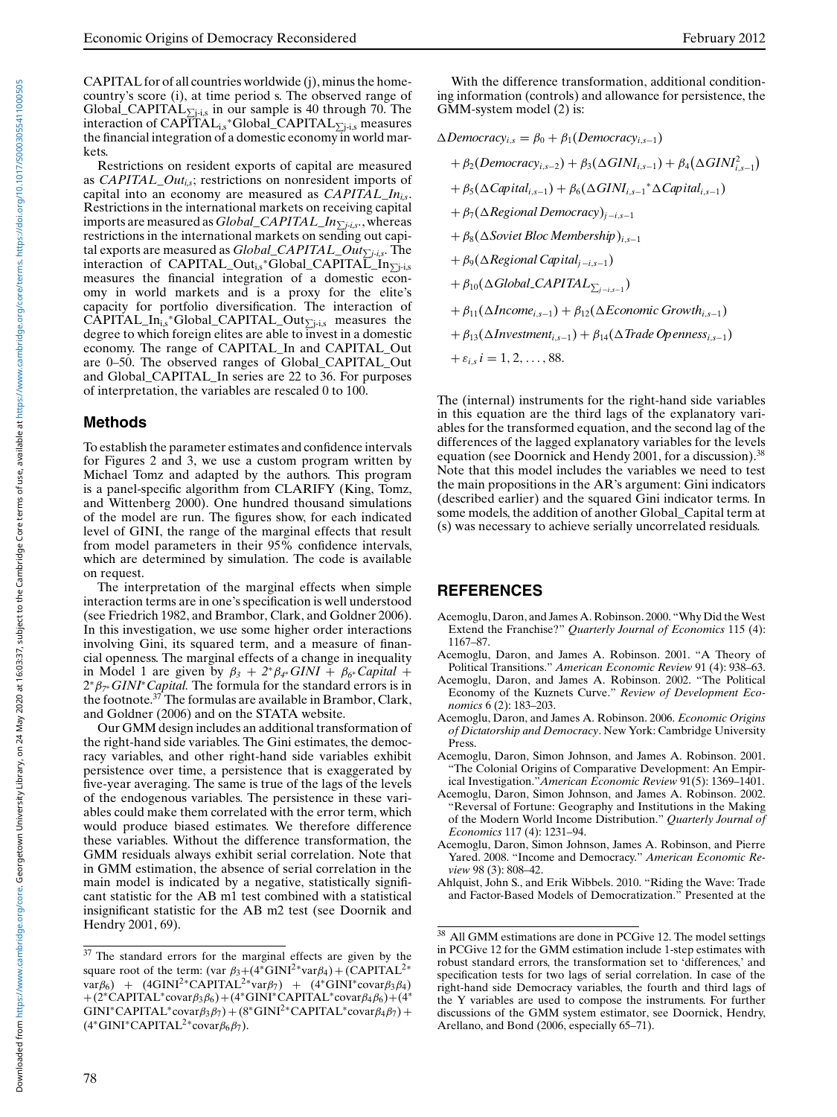CAPITAL for of all countries worldwide (j), minus the homecountry's score (i), at time period s. The observed range of Global\_CAPITAL $_{\sum j_i}$  in our sample is 40 through 70. The interaction of  $CAPITAL_{i,s}$ \*Global\_CAPITAL $_{\sum j \text{-} i,s}$  measures the financial integration of a domestic economy in world markets.

Restrictions on resident exports of capital are measured as *CAPITAL\_Outi,s*; restrictions on nonresident imports of capital into an economy are measured as *CAPITAL\_Ini,s*. Restrictions in the international markets on receiving capital imports are measured as *Global\_CAPITAL\_Inj-i,s.*, whereas restrictions in the international markets on sending out capital exports are measured as *Global\_CAPITAL\_Outj-i,s.* The interaction of CAPITAL\_Out<sub>i,s</sub>\*Global\_CAPITAL\_In<sub> $\sum$ i-i,s</sub> measures the financial integration of a domestic economy in world markets and is a proxy for the elite's capacity for portfolio diversification. The interaction of  $CAPITAL_In_{i,s}^*Global_CAPITAL_Out_{\sum j-i,s}$  measures the degree to which foreign elites are able to invest in a domestic economy. The range of CAPITAL\_In and CAPITAL\_Out are 0–50. The observed ranges of Global\_CAPITAL\_Out and Global\_CAPITAL\_In series are 22 to 36. For purposes of interpretation, the variables are rescaled 0 to 100.

#### **Methods**

To establish the parameter estimates and confidence intervals for Figures 2 and 3, we use a custom program written by Michael Tomz and adapted by the authors. This program is a panel-specific algorithm from CLARIFY (King, Tomz, and Wittenberg 2000). One hundred thousand simulations of the model are run. The figures show, for each indicated level of GINI, the range of the marginal effects that result from model parameters in their 95% confidence intervals, which are determined by simulation. The code is available on request.

The interpretation of the marginal effects when simple interaction terms are in one's specification is well understood (see Friedrich 1982, and Brambor, Clark, and Goldner 2006). In this investigation, we use some higher order interactions involving Gini, its squared term, and a measure of financial openness. The marginal effects of a change in inequality in Model 1 are given by  $\beta_3 + 2 \beta_4 \beta_5 GINI + \beta_6 \beta_6 Gapital +$ 2∗β*<sup>7</sup>*∗*GINI*∗*Capital.* The formula for the standard errors is in the footnote.<sup>37</sup> The formulas are available in Brambor, Clark, and Goldner (2006) and on the STATA website.

Our GMM design includes an additional transformation of the right-hand side variables. The Gini estimates, the democracy variables, and other right-hand side variables exhibit persistence over time, a persistence that is exaggerated by five-year averaging. The same is true of the lags of the levels of the endogenous variables. The persistence in these variables could make them correlated with the error term, which would produce biased estimates. We therefore difference these variables. Without the difference transformation, the GMM residuals always exhibit serial correlation. Note that in GMM estimation, the absence of serial correlation in the main model is indicated by a negative, statistically significant statistic for the AB m1 test combined with a statistical insignificant statistic for the AB m2 test (see Doornik and Hendry 2001, 69).

With the difference transformation, additional conditioning information (controls) and allowance for persistence, the GMM-system model (2) is:

 $\triangle$ *Democracy*<sub>*i*,s</sub> =  $\beta_0 + \beta_1$ (*Democracy*<sub>*i*,s−1</sub>)</sub>  $+ \beta_2(Democracy_{i,s-2}) + \beta_3(\Delta GINI_{i,s-1}) + \beta_4(\Delta GINI_{i,s-1}^2)$  $+\beta_5(\Delta Capital_{i,s-1}) + \beta_6(\Delta GINI_{i,s-1}^* \Delta Capital_{i,s-1})$ + β7(*Regional Democracy*)*<sup>j</sup>* <sup>−</sup>*i*,*s*−<sup>1</sup> + β8(*Soviet Bloc Membership*)*i*,*s*−<sup>1</sup> + β9(*Regional Capitalj* <sup>−</sup>*i*,*s*−1)  $+ \beta_{10} (\Delta Global \text{CAPITAL}_{\sum_{j-i,s-1}})$  $+ \beta_{11}(\Delta Income_{i,s-1}) + \beta_{12}(\Delta Economic Growth_{i,s-1})$  $+ \beta_{13}(\Delta Investment_{i,s-1}) + \beta_{14}(\Delta Trade Openness_{i,s-1})$  $+ \varepsilon_{i,s} i = 1, 2, ..., 88.$ 

The (internal) instruments for the right-hand side variables in this equation are the third lags of the explanatory variables for the transformed equation, and the second lag of the differences of the lagged explanatory variables for the levels equation (see Doornick and Hendy 2001, for a discussion).<sup>38</sup> Note that this model includes the variables we need to test the main propositions in the AR's argument: Gini indicators (described earlier) and the squared Gini indicator terms. In some models, the addition of another Global\_Capital term at (s) was necessary to achieve serially uncorrelated residuals.

#### **REFERENCES**

- Acemoglu, Daron, and James A. Robinson. 2000. "Why Did the West Extend the Franchise?" *Quarterly Journal of Economics* 115 (4): 1167–87.
- Acemoglu, Daron, and James A. Robinson. 2001. "A Theory of Political Transitions." *American Economic Review* 91 (4): 938–63.
- Acemoglu, Daron, and James A. Robinson. 2002. "The Political Economy of the Kuznets Curve." *Review of Development Economics* 6 (2): 183–203.
- Acemoglu, Daron, and James A. Robinson. 2006. *Economic Origins of Dictatorship and Democracy*. New York: Cambridge University Press.
- Acemoglu, Daron, Simon Johnson, and James A. Robinson. 2001. The Colonial Origins of Comparative Development: An Empirical Investigation."*American Economic Review* 91(5): 1369–1401.
- Acemoglu, Daron, Simon Johnson, and James A. Robinson. 2002. "Reversal of Fortune: Geography and Institutions in the Making of the Modern World Income Distribution." *Quarterly Journal of Economics* 117 (4): 1231–94.
- Acemoglu, Daron, Simon Johnson, James A. Robinson, and Pierre Yared. 2008. "Income and Democracy." *American Economic Review* 98 (3): 808–42.
- Ahlquist, John S., and Erik Wibbels. 2010. "Riding the Wave: Trade and Factor-Based Models of Democratization." Presented at the

<sup>&</sup>lt;sup>37</sup> The standard errors for the marginal effects are given by the square root of the term: (var  $\beta_3+(4*GINI^2*var\beta_4) + (CAPITAL^2*$ var $\beta_6$ ) + (4GINI<sup>2</sup>\*CAPITAL<sup>2</sup>\*var $\beta_7$ ) + (4\*GINI\*covar $\beta_3\beta_4$ ) +(2\*CAPITAL\*covar $\beta_3\beta_6$ )+(4\*GINI\*CAPITAL\*covar $\beta_4\beta_6$ )+(4\* GINI\*CAPITAL\*covar $\beta_3\beta_7$ ) + (8\*GINI<sup>2</sup>\*CAPITAL\*covar $\beta_4\beta_7$ ) +  $(4*GINI*CAPITAL<sup>2</sup>*covar $\beta_6\beta_7$ ).$ 

<sup>38</sup> All GMM estimations are done in PCGive 12. The model settings in PCGive 12 for the GMM estimation include 1-step estimates with robust standard errors, the transformation set to 'differences,' and specification tests for two lags of serial correlation. In case of the right-hand side Democracy variables, the fourth and third lags of the Y variables are used to compose the instruments. For further discussions of the GMM system estimator, see Doornick, Hendry, Arellano, and Bond (2006, especially 65–71).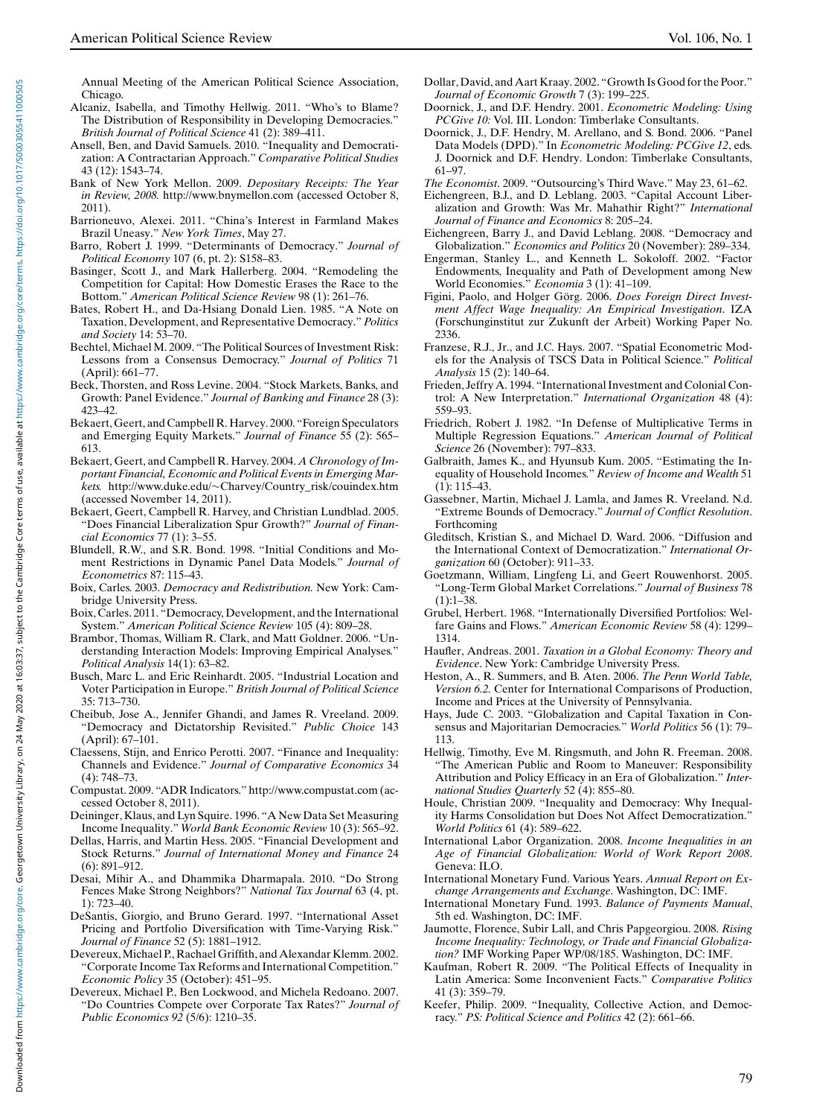Annual Meeting of the American Political Science Association, Chicago.

- Alcaniz, Isabella, and Timothy Hellwig. 2011. "Who's to Blame? The Distribution of Responsibility in Developing Democracies." *British Journal of Political Science* 41 (2): 389–411.
- Ansell, Ben, and David Samuels. 2010. "Inequality and Democratization: A Contractarian Approach." *Comparative Political Studies* 43 (12): 1543–74.
- Bank of New York Mellon. 2009. *Depositary Receipts: The Year in Review, 2008.* http://www.bnymellon.com (accessed October 8, 2011).
- Barrioneuvo, Alexei. 2011. "China's Interest in Farmland Makes Brazil Uneasy." *New York Times*, May 27.
- Barro, Robert J. 1999. "Determinants of Democracy." *Journal of Political Economy* 107 (6, pt. 2): S158–83.
- Basinger, Scott J., and Mark Hallerberg. 2004. "Remodeling the Competition for Capital: How Domestic Erases the Race to the Bottom." *American Political Science Review* 98 (1): 261–76.
- Bates, Robert H., and Da-Hsiang Donald Lien. 1985. "A Note on Taxation, Development, and Representative Democracy." *Politics and Society* 14: 53–70.
- Bechtel, Michael M. 2009. "The Political Sources of Investment Risk: Lessons from a Consensus Democracy." *Journal of Politics* 71 (April): 661–77.
- Beck, Thorsten, and Ross Levine. 2004. "Stock Markets, Banks, and Growth: Panel Evidence." *Journal of Banking and Finance* 28 (3): 423–42.
- Bekaert, Geert, and Campbell R. Harvey. 2000. "Foreign Speculators and Emerging Equity Markets." *Journal of Finance* 55 (2): 565– 613.
- Bekaert, Geert, and Campbell R. Harvey. 2004. *A Chronology of Important Financial, Economic and Political Events in Emerging Markets.* http://www.duke.edu/∼Charvey/Country\_risk/couindex.htm (accessed November 14, 2011).
- Bekaert, Geert, Campbell R. Harvey, and Christian Lundblad. 2005. "Does Financial Liberalization Spur Growth?" *Journal of Financial Economics* 77 (1): 3–55.
- Blundell, R.W., and S.R. Bond. 1998. "Initial Conditions and Moment Restrictions in Dynamic Panel Data Models." *Journal of Econometrics* 87: 115–43.
- Boix, Carles. 2003. *Democracy and Redistribution.* New York: Cambridge University Press.
- Boix, Carles. 2011. "Democracy, Development, and the International System." *American Political Science Review* 105 (4): 809–28.
- Brambor, Thomas, William R. Clark, and Matt Goldner. 2006. "Understanding Interaction Models: Improving Empirical Analyses." *Political Analysis* 14(1): 63–82.
- Busch, Marc L. and Eric Reinhardt. 2005. "Industrial Location and Voter Participation in Europe." *British Journal of Political Science* 35: 713–730.
- Cheibub, Jose A., Jennifer Ghandi, and James R. Vreeland. 2009. "Democracy and Dictatorship Revisited." *Public Choice* 143 (April): 67–101.
- Claessens, Stijn, and Enrico Perotti. 2007. "Finance and Inequality: Channels and Evidence." *Journal of Comparative Economics* 34 (4): 748–73.
- Compustat. 2009. "ADR Indicators." http://www.compustat.com (accessed October 8, 2011).
- Deininger, Klaus, and Lyn Squire. 1996. "A New Data Set Measuring Income Inequality." *World Bank Economic Review* 10 (3): 565–92.
- Dellas, Harris, and Martin Hess. 2005. "Financial Development and Stock Returns." *Journal of International Money and Finance* 24 (6): 891–912.
- Desai, Mihir A., and Dhammika Dharmapala. 2010. "Do Strong Fences Make Strong Neighbors?" *National Tax Journal* 63 (4, pt. 1): 723–40.
- DeSantis, Giorgio, and Bruno Gerard. 1997. "International Asset Pricing and Portfolio Diversification with Time-Varying Risk." *Journal of Finance* 52 (5): 1881–1912.
- Devereux,Michael P., Rachael Griffith, and Alexandar Klemm. 2002. "Corporate Income Tax Reforms and International Competition." *Economic Policy* 35 (October): 451–95.
- Devereux, Michael P., Ben Lockwood, and Michela Redoano. 2007. "Do Countries Compete over Corporate Tax Rates?" *Journal of Public Economics 92* (5/6): 1210–35.
- Dollar, David, and Aart Kraay. 2002. "Growth Is Good for the Poor." *Journal of Economic Growth* 7 (3): 199–225.
- Doornick, J., and D.F. Hendry. 2001. *Econometric Modeling: Using PCGive 10:* Vol. III. London: Timberlake Consultants.
- Doornick, J., D.F. Hendry, M. Arellano, and S. Bond. 2006. "Panel Data Models (DPD)." In *Econometric Modeling: PCGive 12*, eds. J. Doornick and D.F. Hendry. London: Timberlake Consultants, 61–97.
- *The Economist*. 2009. "Outsourcing's Third Wave." May 23, 61–62.
- Eichengreen, B.J., and D. Leblang. 2003. "Capital Account Liberalization and Growth: Was Mr. Mahathir Right?" *International Journal of Finance and Economics* 8: 205–24.
- Eichengreen, Barry J., and David Leblang. 2008. "Democracy and Globalization." *Economics and Politics* 20 (November): 289–334.
- Engerman, Stanley L., and Kenneth L. Sokoloff. 2002. "Factor Endowments, Inequality and Path of Development among New World Economies." *Economia* 3 (1): 41–109.
- Figini, Paolo, and Holger Görg. 2006. *Does Foreign Direct Investment Affect Wage Inequality: An Empirical Investigation*. IZA (Forschunginstitut zur Zukunft der Arbeit) Working Paper No. 2336.
- Franzese, R.J., Jr., and J.C. Hays. 2007. "Spatial Econometric Models for the Analysis of TSCS Data in Political Science." *Political Analysis* 15 (2): 140–64.
- Frieden, Jeffry A. 1994. "International Investment and Colonial Control: A New Interpretation." *International Organization* 48 (4): 559–93.
- Friedrich, Robert J. 1982. "In Defense of Multiplicative Terms in Multiple Regression Equations." *American Journal of Political Science* 26 (November): 797–833.
- Galbraith, James K., and Hyunsub Kum. 2005. "Estimating the Inequality of Household Incomes." *Review of Income and Wealth* 51 (1): 115–43.
- Gassebner, Martin, Michael J. Lamla, and James R. Vreeland. N.d. "Extreme Bounds of Democracy." *Journal of Conflict Resolution*. Forthcoming
- Gleditsch, Kristian S., and Michael D. Ward. 2006. "Diffusion and the International Context of Democratization." *International Organization* 60 (October): 911–33.
- Goetzmann, William, Lingfeng Li, and Geert Rouwenhorst. 2005. "Long-Term Global Market Correlations." *Journal of Business* 78 (1):1–38.
- Grubel, Herbert. 1968. "Internationally Diversified Portfolios: Welfare Gains and Flows." *American Economic Review* 58 (4): 1299– 1314.
- Haufler, Andreas. 2001. *Taxation in a Global Economy: Theory and Evidence*. New York: Cambridge University Press.
- Heston, A., R. Summers, and B. Aten. 2006. *The Penn World Table, Version 6.2.* Center for International Comparisons of Production, Income and Prices at the University of Pennsylvania.
- Hays, Jude C. 2003. "Globalization and Capital Taxation in Consensus and Majoritarian Democracies." *World Politics* 56 (1): 79– 113.
- Hellwig, Timothy, Eve M. Ringsmuth, and John R. Freeman. 2008. "The American Public and Room to Maneuver: Responsibility Attribution and Policy Efficacy in an Era of Globalization." *International Studies Quarterly* 52 (4): 855–80.
- Houle, Christian 2009. "Inequality and Democracy: Why Inequality Harms Consolidation but Does Not Affect Democratization." *World Politics* 61 (4): 589–622.
- International Labor Organization. 2008. *Income Inequalities in an Age of Financial Globalization: World of Work Report 2008*. Geneva: ILO.
- International Monetary Fund. Various Years. *Annual Report on Exchange Arrangements and Exchange*. Washington, DC: IMF.
- International Monetary Fund. 1993. *Balance of Payments Manual*, 5th ed. Washington, DC: IMF.
- Jaumotte, Florence, Subir Lall, and Chris Papgeorgiou. 2008. *Rising Income Inequality: Technology, or Trade and Financial Globalization?* IMF Working Paper WP/08/185. Washington, DC: IMF.
- Kaufman, Robert R. 2009. "The Political Effects of Inequality in Latin America: Some Inconvenient Facts." *Comparative Politics* 41 (3): 359–79.
- Keefer, Philip. 2009. "Inequality, Collective Action, and Democracy." *PS: Political Science and Politics* 42 (2): 661–66.